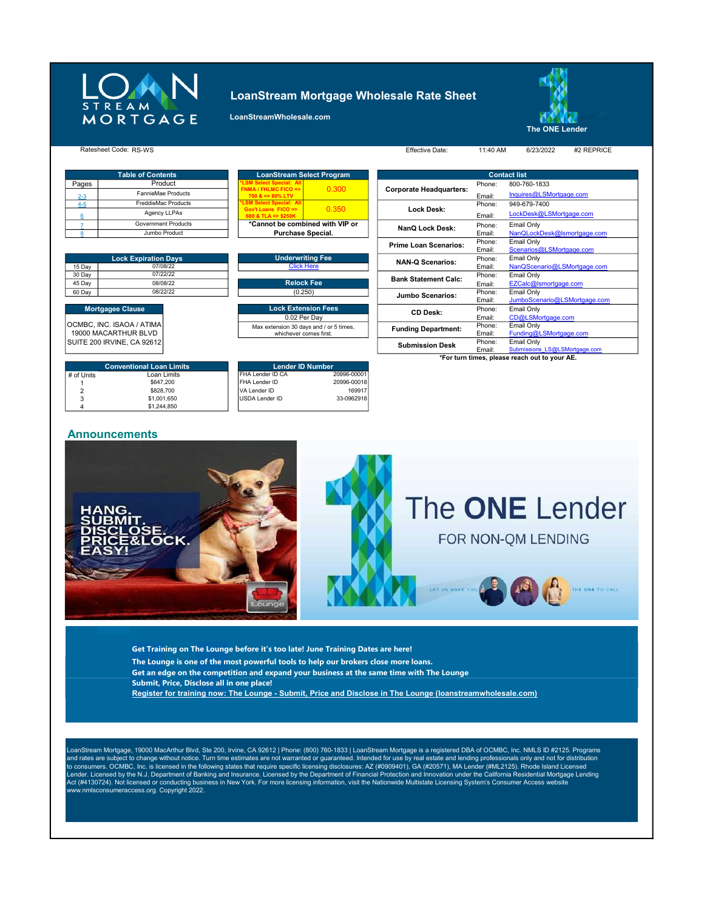

## LoanStream Mortgage Wholesale Rate Sheet





#### RS-WS Effective Date: 11:40 AM 6/23/2022 #2 REPRICE Ratesheet Code: Effective Date: 6/23/2022

| <b>Contents</b>      |                                                     | <b>LoanStream Select Program</b> |                         |  |  |  |  |
|----------------------|-----------------------------------------------------|----------------------------------|-------------------------|--|--|--|--|
| Product              | *LSM Select Special: All                            |                                  |                         |  |  |  |  |
| nnieMae Products     | <b>FNMA / FHLMC FICO =&gt;</b><br>$700 <= 80\%$ LTV | 0.300                            | <b>Corporate Headqu</b> |  |  |  |  |
| ddieMac Products     | <b>*LSM Select Special: All</b>                     |                                  |                         |  |  |  |  |
| Agency LLPAs         | Gov't Loans FICO =><br>680 & TLA => \$250K          | 0.350                            | <b>Lock Desk:</b>       |  |  |  |  |
| ernment Products     |                                                     | *Cannot be combined with VIP or  |                         |  |  |  |  |
| <b>Jumbo Draduat</b> | Durchoon Concial                                    |                                  | NanQ Lock De            |  |  |  |  |

|           |                                                                   | Prime Loan Scenarios        |
|-----------|-------------------------------------------------------------------|-----------------------------|
| tion Days | <b>Underwriting Fee</b>                                           | <b>NAN-Q Scenarios:</b>     |
| 07/08/22  | <b>Click Here</b>                                                 |                             |
| 07/22/22  |                                                                   | <b>Bank Statement Calc:</b> |
| 08/08/22  | <b>Relock Fee</b>                                                 |                             |
| 08/22/22  | (0.250)                                                           | <b>Jumbo Scenarios:</b>     |
|           | <b>Lock Extension Fees</b>                                        | <b>CD Desk:</b>             |
|           | 0.02 Per Dav                                                      |                             |
| ИA<br>D   | Max extension 30 days and / or 5 times,<br>whichever comes first. | <b>Funding Department:</b>  |

|                      | <b>Table of Contents</b>    |                        | <b>LoanStream Select Program</b>                      |       |                                |                        | <b>Contact list</b>           |
|----------------------|-----------------------------|------------------------|-------------------------------------------------------|-------|--------------------------------|------------------------|-------------------------------|
| Pages                | Product                     |                        | <b>"LSM Select Special: All</b>                       |       |                                | Phone:                 | 800-760-1833                  |
| $2 - 3$              | FannieMae Products          |                        | <b>FNMA / FHLMC FICO =&gt;</b><br>$700 <= 80\%$ LTV   | 0.300 | <b>Corporate Headquarters:</b> | Email:                 | Inquires@LSMortgage.com       |
| $4-5$                | FreddieMac Products         |                        | <b>LSM Select Special: All</b>                        |       |                                | Phone:                 | 949-679-7400                  |
| ĥ                    | Agency LLPAs                |                        | Gov't Loans $FICO \Rightarrow$<br>680 & TLA => \$250K | 0.350 | Lock Desk:                     | Email:                 | LockDesk@LSMortgage.com       |
|                      | <b>Government Products</b>  |                        | *Cannot be combined with VIP or                       |       | NanQ Lock Desk:                | Phone:                 | Email Only                    |
|                      | Jumbo Product               |                        | <b>Purchase Special.</b>                              |       |                                | Email:                 | NanQLockDesk@Ismortgage.com   |
|                      |                             |                        |                                                       |       | <b>Prime Loan Scenarios:</b>   | Phone:                 | Email Only                    |
|                      |                             |                        |                                                       |       |                                | Email:                 | Scenarios@LSMortgage.com      |
|                      | <b>Lock Expiration Days</b> |                        | <b>Underwriting Fee</b>                               |       | <b>NAN-Q Scenarios:</b>        | Phone:                 | Email Only                    |
| 15 Day               | 07/08/22                    |                        | <b>Click Here</b>                                     |       |                                | Email:                 | NanQScenario@LSMortgage.com   |
| 30 Day               | 07/22/22                    |                        |                                                       |       | <b>Bank Statement Calc:</b>    | Phone:                 | Email Only                    |
| 45 Day               | 08/08/22                    |                        | <b>Relock Fee</b>                                     |       |                                | Email:                 | EZCalc@Ismortgage.com         |
| 60 Day               | 08/22/22                    |                        | (0.250)                                               |       | <b>Jumbo Scenarios:</b>        | Phone:                 | Email Only                    |
|                      |                             |                        |                                                       |       |                                | Email:                 | JumboScenario@LSMortgage.com  |
|                      | <b>Mortgagee Clause</b>     |                        | <b>Lock Extension Fees</b>                            |       | <b>CD Desk:</b>                | Phone:                 | Email Only                    |
|                      |                             |                        | 0.02 Per Day                                          |       |                                | Email:                 | CD@LSMortgage.com             |
|                      | CMBC, INC. ISAOA / ATIMA    |                        | Max extension 30 days and / or 5 times,               |       | <b>Funding Department:</b>     | Phone:                 | Email Only                    |
| 19000 MACARTHUR BLVD |                             | whichever comes first. |                                                       |       | Email:                         | Funding@LSMortgage.com |                               |
|                      | UITE 200 IRVINE, CA 92612   |                        |                                                       |       | <b>Submission Desk</b>         | Phone:                 | Email Only                    |
|                      |                             |                        |                                                       |       |                                | Email:                 | Submissions LS@LSMortgage.com |

\*For turn times, please reach out to your AE.

OCMBC, INC. ISAOA / ATIMA 19000 MACARTHUR BLVD SUITE 200 IRVINE, CA 92612

|            | <b>Conventional Loan Limits</b> |  |
|------------|---------------------------------|--|
| # of Units | Loan Limits                     |  |
|            | \$647.200                       |  |
| 2          | \$828.700                       |  |
| 3          | \$1,001.650                     |  |
|            | \$1,244,850                     |  |

#### **USDA Lender ID** 33-0962918 FHA Lender ID 20996-00018<br>Ander ID 20996-00018<br>169917 VA Lender ID Lender ID Number<br>ID CA 20996-0000 **HA Lender ID CA**

### Announcements



Get Training on The Lounge before it's too late! June Training Dates are here!

- The Lounge is one of the most powerful tools to help our brokers close more loans.
- Get an edge on the competition and expand your business at the same time with The Lounge
- Submit, Price, Disclose all in one place!
- Register for training now: The Lounge Submit, Price and Disclose in The Lounge (loanstreamwholesale.com)

LoanStream Mortgage, 19000 MacArthur Blvd, Ste 200, Irvine, CA 92612 | Phone: (800) 760-1833 | LoanStream Mortgage is a registered DBA of OCMBC, Inc. NMLS ID #2125. Programs and rates are subject to change without notice. Turn time estimates are not warranted or guaranteed. Intended for use by real estate and lending professionals only and not for distribution<br>to consumers. OCMBC, Inc. is lic Act (#4130724). Not licensed or conducting business in New York. For more licensing information, visit the Nationwide Multistate Licensing System's Consumer Access website www.nmlsconsumeraccess.org. Copyright 2022.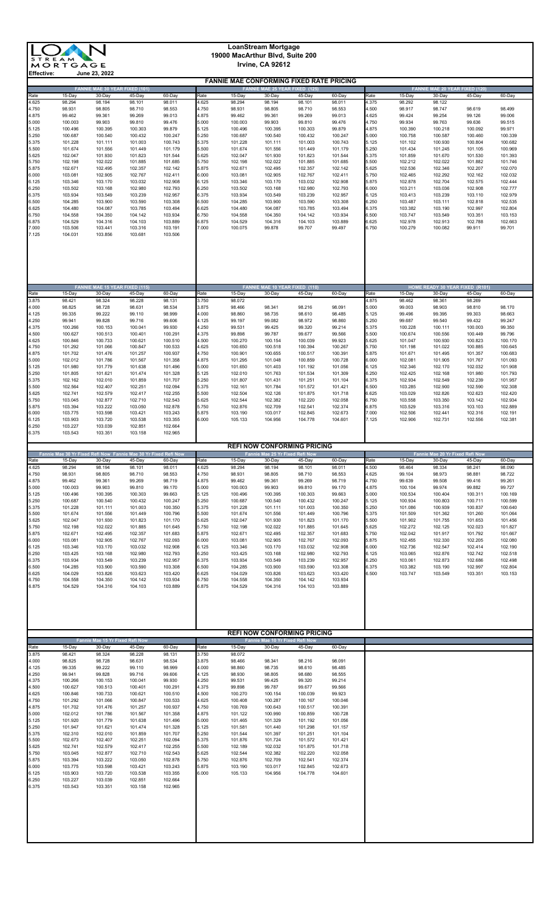|                | <b>LoanStream Mortgage</b><br>19000 MacArthur Blvd, Suite 200<br><b>STREAM</b><br>Irvine, CA 92612<br>MORTGAGE |                                                 |                    |                    |                |                                                 |                                                 |                    |                    |                |                    |                                       |                                           |                    |
|----------------|----------------------------------------------------------------------------------------------------------------|-------------------------------------------------|--------------------|--------------------|----------------|-------------------------------------------------|-------------------------------------------------|--------------------|--------------------|----------------|--------------------|---------------------------------------|-------------------------------------------|--------------------|
| Effective:     |                                                                                                                | June 23, 2022                                   |                    |                    |                | <b>FANNIE MAE CONFORMING FIXED RATE PRICING</b> |                                                 |                    |                    |                |                    |                                       |                                           |                    |
|                |                                                                                                                | FANNIE MAE 30 YEAR FIXED (101)                  |                    |                    |                |                                                 | FANNIE MAE 25 YEAR FIXED (125)                  |                    |                    |                |                    | <b>FANNIE MAE 20 YEAR FIXED (120)</b> |                                           |                    |
| Rate<br>4.625  | 15-Day<br>98.294                                                                                               | 30-Day<br>98.194                                | 45-Day<br>98.101   | 60-Day<br>98.011   | Rate<br>4.625  | 15-Day<br>98.294                                | 30-Day<br>98.194                                | 45-Day<br>98.101   | 60-Day<br>98.011   | Rate<br>4.375  | 15-Day<br>98.292   | 30-Day<br>98.122                      | 45-Day                                    | 60-Day             |
| 4.750<br>4.875 | 98.931<br>99.462                                                                                               | 98.805<br>99.361                                | 98.710<br>99.269   | 98.553<br>99.013   | 4.750<br>4.875 | 98.931<br>99.462                                | 98.805<br>99.361                                | 98.710<br>99.269   | 98.553<br>99.013   | 4.500<br>4.625 | 98.917<br>99.424   | 98.747<br>99.254                      | 98.619<br>99.126                          | 98.499<br>99.006   |
| 5.000          | 100.003                                                                                                        | 99.903                                          | 99.810             | 99.476             | 5.000          | 100.003                                         | 99.903                                          | 99.810             | 99.476             | 4.750          | 99.934             | 99.763                                | 99.636                                    | 99.515             |
| 5.125<br>5.250 | 100.496<br>100.687                                                                                             | 100.395<br>100.540                              | 100.303<br>100.432 | 99.879<br>100.247  | 5.125<br>5.250 | 100.496<br>100.687                              | 100.395<br>100.540                              | 100.303<br>100.432 | 99.879<br>100.247  | 4.875<br>5.000 | 100.390<br>100.758 | 100.218<br>100.587                    | 100.092<br>100.460                        | 99.971<br>100.339  |
| 5.375<br>5.500 | 101.228<br>101.674                                                                                             | 101.111<br>101.556                              | 101.003<br>101.449 | 100.743<br>101.179 | 5.375<br>5.500 | 101.228<br>101.674                              | 101.111<br>101.556                              | 101.003<br>101.449 | 100.743<br>101.179 | 5.125<br>5.250 | 101.102<br>101.434 | 100.930<br>101.245                    | 100.804<br>101.105                        | 100.682<br>100.969 |
| 5.625<br>5.750 | 102.047<br>102.198                                                                                             | 101.930<br>102.022                              | 101.823<br>101.885 | 101.544<br>101.685 | 5.625<br>5.750 | 102.047<br>102.198                              | 101.930<br>102.022                              | 101.823<br>101.885 | 101.544<br>101.685 | 5.375<br>5.500 | 101.859<br>102.212 | 101.670<br>102.022                    | 101.530<br>101.882                        | 101.393<br>101.746 |
| 5.875          | 102.671                                                                                                        | 102.495                                         | 102.357            | 102.142            | 5.875          | 102.671                                         | 102.495                                         | 102.357            | 102.142            | 5.625          | 102.536            | 102.346                               | 102.207                                   | 102.070            |
| 6.000<br>6.125 | 103.081<br>103.346                                                                                             | 102.905<br>103.170                              | 102.767<br>103.032 | 102.411<br>102.908 | 6.000<br>6.125 | 103.081<br>103.346                              | 102.905<br>103.170                              | 102.767<br>103.032 | 102.411<br>102.908 | 5.750<br>5.875 | 102.465<br>102.878 | 102.292<br>102.704                    | 102.162<br>102.575                        | 102.032<br>102.444 |
| 6.250<br>6.375 | 103.502<br>103.934                                                                                             | 103.168<br>103.549                              | 102.980<br>103.239 | 102.793<br>102.957 | 6.250<br>6.375 | 103.502<br>103.934                              | 103.168<br>103.549                              | 102.980<br>103.239 | 102.793<br>102.957 | 6.000<br>6.125 | 103.211<br>103.413 | 103.036<br>103.239                    | 102.908<br>103.110                        | 102.777<br>102.979 |
| 6.500<br>6.625 | 104.285<br>104.480                                                                                             | 103.900<br>104.087                              | 103.590<br>103.785 | 103.308<br>103.494 | 6.500<br>6.625 | 104.285<br>104.480                              | 103.900<br>104.087                              | 103.590<br>103.785 | 103.308<br>103.494 | 6.250<br>6.375 | 103.487<br>103.382 | 103.111<br>103.190                    | 102.818<br>102.997                        | 102.535<br>102.804 |
| 6.750<br>6.875 | 104.558<br>104.529                                                                                             | 104.350<br>104.316                              | 104.142<br>104.103 | 103.934<br>103.889 | 6.750<br>6.875 | 104.558<br>104.529                              | 104.350<br>104.316                              | 104.142<br>104.103 | 103.934<br>103.889 | 6.500<br>6.625 | 103.747<br>102.978 | 103.549<br>102.913                    | 103.351<br>102.788                        | 103.153<br>102.663 |
| 7.000          | 103.506                                                                                                        | 103.441                                         | 103.316            | 103.191            | 7.000          | 100.075                                         | 99.878                                          | 99.707             | 99.497             | 6.750          | 100.279            | 100.082                               | 99.911                                    | 99.701             |
| 7.125          | 104.031                                                                                                        | 103.856                                         | 103.681            | 103.506            |                |                                                 |                                                 |                    |                    |                |                    |                                       |                                           |                    |
|                |                                                                                                                |                                                 |                    |                    |                |                                                 |                                                 |                    |                    |                |                    |                                       |                                           |                    |
|                |                                                                                                                |                                                 |                    |                    |                |                                                 |                                                 |                    |                    |                |                    |                                       |                                           |                    |
| Rate           | 15-Day                                                                                                         | <b>FANNIE MAE 15 YEAR FIXED (115)</b><br>30-Day | 45-Day             | 60-Day             | Rate           | 15-Day                                          | <b>FANNIE MAE 10 YEAR FIXED (110)</b><br>30-Day | 45-Day             | 60-Day             | Rate           | 15-Day             | 30-Day                                | HOME READY 30 YEAR FIXED (R101)<br>45-Day | 60-Day             |
| 3.875<br>4.000 | 98.421<br>98.825                                                                                               | 98.324<br>98.728                                | 98.228<br>98.631   | 98.131<br>98.534   | 3.750<br>3.875 | 98.072<br>98.466                                | 98.341                                          | 98.216             | 98.091             | 4.875<br>5.000 | 98.462<br>99.003   | 98.361<br>98.903                      | 98.269<br>98.810                          | 98.170             |
| 4.125<br>4.250 | 99.335<br>99.941                                                                                               | 99.222<br>99.828                                | 99.110<br>99.716   | 98.999<br>99.606   | 4.000          | 98.860<br>99.197                                | 98.735                                          | 98.610<br>98.972   | 98.485<br>98.860   | 5.125<br>5.250 | 99.496             | 99.395<br>99.540                      | 99.303<br>99.432                          | 98.663             |
| 4.375          | 100.266                                                                                                        | 100.153                                         | 100.041            | 99.930             | 4.125<br>4.250 | 99.531                                          | 99.082<br>99.425                                | 99.320             | 99.214             | 5.375          | 99.687<br>100.228  | 100.111                               | 100.003                                   | 99.247<br>99.350   |
| 4.500<br>4.625 | 100.627<br>100.846                                                                                             | 100.513<br>100.733                              | 100.401<br>100.621 | 100.291<br>100.510 | 4.375<br>4.500 | 99.898<br>100.270                               | 99.787<br>100.154                               | 99.677<br>100.039  | 99.566<br>99.923   | 5.500<br>5.625 | 100.674<br>101.047 | 100.556<br>100.930                    | 100.449<br>100.823                        | 99.796<br>100.170  |
| 4.750<br>4.875 | 101.292<br>101.702                                                                                             | 101.066<br>101.476                              | 100.847<br>101.257 | 100.533<br>100.937 | 4.625<br>4.750 | 100.650<br>100.901                              | 100.518<br>100.655                              | 100.394<br>100.517 | 100.267<br>100.391 | 5.750<br>5.875 | 101.198<br>101.671 | 101.022<br>101.495                    | 100.885<br>101.357                        | 100.645<br>100.683 |
| 5.000          | 102.012                                                                                                        | 101.786                                         | 101.567            | 101.358            | 4.875          | 101.295                                         | 101.048                                         | 100.859            | 100.728            | 6.000<br>6.125 | 102.081            | 101.905                               | 101.767                                   | 101.093            |
| 5.125<br>5.250 | 101.980<br>101.805                                                                                             | 101.779<br>101.621                              | 101.638<br>101.474 | 101.496<br>101.328 | 5.000<br>5.125 | 101.650<br>102.010                              | 101.403<br>101.763                              | 101.192<br>101.534 | 101.056<br>101.309 | 6.250          | 102.346<br>102.425 | 102.170<br>102.168                    | 102.032<br>101.980                        | 101.908<br>101.793 |
| 5.375<br>5.500 | 102.162<br>102.564                                                                                             | 102.010<br>102.407                              | 101.859<br>102.251 | 101.707<br>102.094 | 5.250<br>5.375 | 101.807<br>102.161                              | 101.431<br>101.784                              | 101.251<br>101.572 | 101.104<br>101.421 | 6.375<br>6.500 | 102.934<br>103.285 | 102.549<br>102.900                    | 102.239<br>102.590                        | 101.957<br>102.308 |
| 5.625<br>5.750 | 102.741<br>103.045                                                                                             | 102.579<br>102.877                              | 102.417<br>102.710 | 102.255<br>102.543 | 5.500<br>5.625 | 102.504<br>102.544                              | 102.126<br>102.382                              | 101.875<br>102.220 | 101.718<br>102.058 | 6.625<br>6.750 | 103.029<br>103.558 | 102.826<br>103.350                    | 102.623<br>103.142                        | 102.420<br>102.934 |
| 5.875<br>6.000 | 103.394<br>103.775                                                                                             | 103.222<br>103.598                              | 103.050<br>103.421 | 102.878<br>103.243 | 5.750<br>5.875 | 102.876<br>103.190                              | 102.709<br>103.017                              | 102.541<br>102.845 | 102.374<br>102.673 | 6.875<br>7.000 | 103.529<br>102.506 | 103.316<br>102.441                    | 103.103<br>102.316                        | 102.889<br>102.191 |
| 6.125          | 103.903                                                                                                        | 103.720                                         | 103.538            | 103.355            | 6.000          | 105.133                                         | 104.956                                         | 104.778            | 104.601            | 7.125          | 102.906            | 102.731                               | 102.556                                   | 102.381            |
| 6.250<br>6.375 | 103.227<br>103.543                                                                                             | 103.039<br>103.351                              | 102.851<br>103.158 | 102.664<br>102.965 |                |                                                 |                                                 |                    |                    |                |                    |                                       |                                           |                    |
|                | Fannie Mae 30 Yr Fixed Refi Now Fannie Mae 30 Yr Fixed Refi Now                                                |                                                 |                    |                    |                |                                                 | <b>REFI NOW CONFORMING PRICING</b>              |                    |                    |                |                    |                                       |                                           |                    |
|                |                                                                                                                |                                                 |                    |                    |                |                                                 | Fannie Mae 25 Yr Fixed Refi Now                 |                    |                    |                |                    | Fannie Mae 20 Yr Fixed Refi Now       |                                           |                    |
| Rate<br>4.625  | 15-Day<br>98.294                                                                                               | 30-Day<br>98.194                                | 45-Day<br>98.101   | 60-Day<br>98.011   | Rate<br>4.625  | 15-Day<br>98.294                                | 30-Day<br>98.194                                | 45-Day<br>98.101   | 60-Day             | Rate           | 15-Day             | 30-Day                                | 45-Day                                    | 60-Day             |
| 4.750          | 98.931                                                                                                         | 98.805                                          | 98.710             | 98.553             | 4.750          | 98.931                                          | 98.805                                          | 98.710             | 98.011<br>98.553   | 4.500<br>4.625 | 98.464<br>99.104   | 98.334<br>98.973                      | 98.241<br>98.881                          | 98.090<br>98.722   |
| 4.875<br>5.000 | 99.462<br>100.003                                                                                              | 99.361<br>99.903                                | 99.269<br>99.810   | 98.719<br>99.170   | 4.875<br>5.000 | 99.462<br>100.003                               | 99.361<br>99.903                                | 99.269<br>99.810   | 98.719<br>99.170   | 4.750<br>4.875 | 99.639<br>100.104  | 99.508<br>99.974                      | 99.416<br>99.882                          | 99.261<br>99.727   |
| 5.125<br>5.250 | 100.496<br>100.687                                                                                             | 100.395<br>100.540                              | 100.303<br>100.432 | 99.663<br>100.247  | 5.125<br>5.250 | 100.496<br>100.687                              | 100.395<br>100.540                              | 100.303<br>100.432 | 99.663<br>100.247  | 5.000<br>5.125 | 100.534<br>100.934 | 100.404<br>100.803                    | 100.311<br>100.711                        | 100.169<br>100.599 |
| 5.375<br>5.500 | 101.228<br>101.674                                                                                             | 101.111<br>101.556                              | 101.003<br>101.449 | 100.350<br>100.796 | 5.375<br>5.500 | 101.228<br>101.674                              | 101.111<br>101.556                              | 101.003<br>101.449 | 100.350<br>100.796 | 5.250<br>5.375 | 101.086<br>101.509 | 100.939<br>101.362                    | 100.837<br>101.260                        | 100.640<br>101.064 |
| 5.625          | 102.047                                                                                                        | 101.930                                         | 101.823            | 101.170            | 5.625          | 102.047                                         | 101.930                                         | 101.823            | 101.170            | 5.500          | 101.902            | 101.755                               | 101.653                                   | 101.456            |
| 5.750<br>5.875 | 102.198<br>102.671                                                                                             | 102.022<br>102.495                              | 101.885<br>102.357 | 101.645<br>101.683 | 5.750<br>5.875 | 102.198<br>102.671                              | 102.022<br>102.495                              | 101.885<br>102.357 | 101.645<br>101.683 | 5.625<br>5.750 | 102.272<br>102.042 | 102.125<br>101.917                    | 102.023<br>101.792                        | 101.827<br>101.667 |
| 6.000<br>6.125 | 103.081<br>103.346                                                                                             | 102.905<br>103.170                              | 102.767<br>103.032 | 102.093<br>102.908 | 6.000<br>6.125 | 103.081<br>103.346                              | 102.905<br>103.170                              | 102.767<br>103.032 | 102.093<br>102.908 | 5.875<br>6.000 | 102.455<br>102.736 | 102.330<br>102.547                    | 102.205<br>102.414                        | 102.080<br>102.190 |
| 6.250<br>6.375 | 103.425<br>103.934                                                                                             | 103.168<br>103.549                              | 102.980<br>103.239 | 102.793<br>102.957 | 6.250<br>6.375 | 103.425<br>103.934                              | 103.168<br>103.549                              | 102.980<br>103.239 | 102.793<br>102.957 | 6.125<br>6.250 | 103.065<br>103.061 | 102.876<br>102.873                    | 102.742<br>102.686                        | 102.518<br>102.498 |
| 6.500<br>6.625 | 104.285<br>104.029                                                                                             | 103.900<br>103.826                              | 103.590<br>103.623 | 103.308<br>103.420 | 6.500<br>6.625 | 104.285<br>104.029                              | 103.900<br>103.826                              | 103.590<br>103.623 | 103.308<br>103.420 | 6.375<br>6.500 | 103.382<br>103.747 | 103.190<br>103.549                    | 102.997<br>103.351                        | 102.804<br>103.153 |
| 6.750<br>6.875 | 104.558<br>104.529                                                                                             | 104.350<br>104.316                              | 104.142<br>104.103 | 103.934<br>103.889 | 6.750<br>6.875 | 104.558<br>104.529                              | 104.350<br>104.316                              | 104.142<br>104.103 | 103.934<br>103.889 |                |                    |                                       |                                           |                    |
|                |                                                                                                                |                                                 |                    |                    |                |                                                 |                                                 |                    |                    |                |                    |                                       |                                           |                    |
|                |                                                                                                                |                                                 |                    |                    |                |                                                 |                                                 |                    |                    |                |                    |                                       |                                           |                    |
|                |                                                                                                                |                                                 |                    |                    |                |                                                 | <b>REFI NOW CONFORMING PRICING</b>              |                    |                    |                |                    |                                       |                                           |                    |
| Rate           | 15-Day                                                                                                         | Fannie Mae 15 Yr Fixed Refi Now<br>30-Day       | 45-Day             | 60-Day             | Rate           | 15-Day                                          | Fannie Mae 10 Yr Fixed Refi Now<br>30-Day       | 45-Day             | 60-Day             |                |                    |                                       |                                           |                    |
| 3.875<br>4.000 | 98.421<br>98.825                                                                                               | 98.324<br>98.728                                | 98.228<br>98.631   | 98.131<br>98.534   | 3.750<br>3.875 | 98.072<br>98.466                                | 98.341                                          | 98.216             | 98.091             |                |                    |                                       |                                           |                    |
| 4.125<br>4.250 | 99.335<br>99.941                                                                                               | 99.222<br>99.828                                | 99.110<br>99.716   | 98.999<br>99.606   | 4.000<br>4.125 | 98.860<br>98.930                                | 98.735<br>98.805                                | 98.610<br>98.680   | 98.485<br>98.555   |                |                    |                                       |                                           |                    |
| 4.375          | 100.266                                                                                                        | 100.153                                         | 100.041            | 99.930             | 4.250          | 99.531                                          | 99.425                                          | 99.320             | 99.214             |                |                    |                                       |                                           |                    |
| 4.500<br>4.625 | 100.627<br>100.846                                                                                             | 100.513<br>100.733                              | 100.401<br>100.621 | 100.291<br>100.510 | 4.375<br>4.500 | 99.898<br>100.270                               | 99.787<br>100.154                               | 99.677<br>100.039  | 99.566<br>99.923   |                |                    |                                       |                                           |                    |
| 4.750<br>4.875 | 101.292<br>101.702                                                                                             | 101.066<br>101.476                              | 100.847<br>101.257 | 100.533<br>100.937 | 4.625<br>4.750 | 100.408<br>100.769                              | 100.287<br>100.643                              | 100.167<br>100.517 | 100.046<br>100.391 |                |                    |                                       |                                           |                    |
| 5.000<br>5.125 | 102.012<br>101.920                                                                                             | 101.786<br>101.779                              | 101.567<br>101.638 | 101.358<br>101.496 | 4.875<br>5.000 | 101.122<br>101.465                              | 100.990<br>101.329                              | 100.859<br>101.192 | 100.728<br>101.056 |                |                    |                                       |                                           |                    |
| 5.250          | 101.947                                                                                                        | 101.621                                         | 101.474            | 101.328            | 5.125          | 101.581                                         | 101.440                                         | 101.298            | 101.157            |                |                    |                                       |                                           |                    |
| 5.375<br>5.500 | 102.310<br>102.673                                                                                             | 102.010<br>102.407                              | 101.859<br>102.251 | 101.707<br>102.094 | 5.250<br>5.375 | 101.544<br>101.876                              | 101.397<br>101.724                              | 101.251<br>101.572 | 101.104<br>101.421 |                |                    |                                       |                                           |                    |
| 5.625<br>5.750 | 102.741<br>103.045                                                                                             | 102.579<br>102.877                              | 102.417<br>102.710 | 102.255<br>102.543 | 5.500<br>5.625 | 102.189<br>102.544                              | 102.032<br>102.382                              | 101.875<br>102.220 | 101.718<br>102.058 |                |                    |                                       |                                           |                    |
| 5.875<br>6.000 | 103.394<br>103.775                                                                                             | 103.222<br>103.598                              | 103.050<br>103.421 | 102.878<br>103.243 | 5.750<br>5.875 | 102.876<br>103.190                              | 102.709<br>103.017                              | 102.541<br>102.845 | 102.374<br>102.673 |                |                    |                                       |                                           |                    |
| 6.125<br>6.250 | 103.903<br>103.227                                                                                             | 103.720<br>103.039                              | 103.538<br>102.851 | 103.355<br>102.664 | 6.000          | 105.133                                         | 104.956                                         | 104.778            | 104.601            |                |                    |                                       |                                           |                    |
| 6.375          | 103.543                                                                                                        | 103.351                                         | 103.158            | 102.965            |                |                                                 |                                                 |                    |                    |                |                    |                                       |                                           |                    |
|                |                                                                                                                |                                                 |                    |                    |                |                                                 |                                                 |                    |                    |                |                    |                                       |                                           |                    |
|                |                                                                                                                |                                                 |                    |                    |                |                                                 |                                                 |                    |                    |                |                    |                                       |                                           |                    |
|                |                                                                                                                |                                                 |                    |                    |                |                                                 |                                                 |                    |                    |                |                    |                                       |                                           |                    |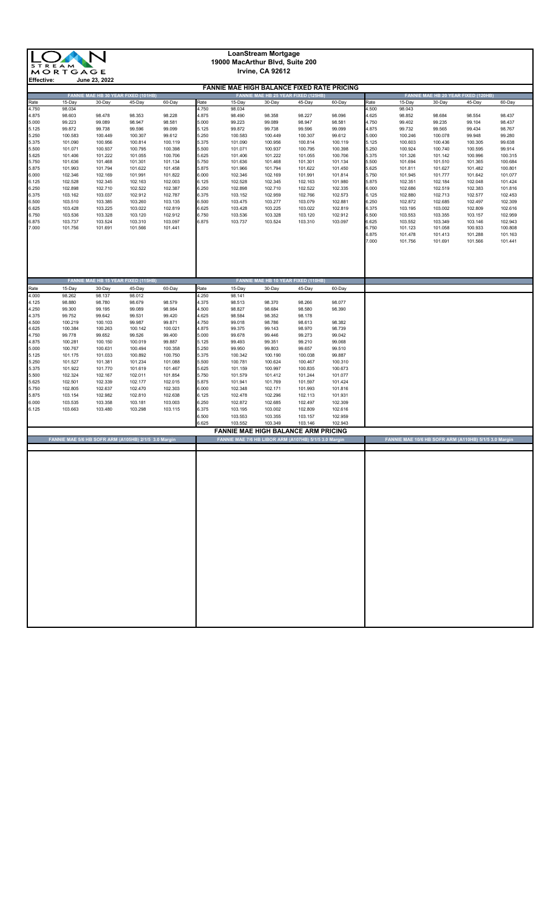

#### **LoanStream Mortgage 19000 MacArthur Blvd, Suite 200 Irvine, CA 92612**

|       |                                                      |         |                                     |         |       | <b>FANNIE MAE HIGH BALANCE FIXED RATE PRICING</b>     |         |                                     |         |       |                                                       |         |                                     |         |
|-------|------------------------------------------------------|---------|-------------------------------------|---------|-------|-------------------------------------------------------|---------|-------------------------------------|---------|-------|-------------------------------------------------------|---------|-------------------------------------|---------|
|       |                                                      |         | FANNIE MAE HB 30 YEAR FIXED (101HB) |         |       |                                                       |         | FANNIE MAE HB 25 YEAR FIXED (125HB) |         |       |                                                       |         | FANNIE MAE HB 20 YEAR FIXED (120HB) |         |
| Rate  | 15-Day                                               | 30-Day  | 45-Day                              | 60-Day  | Rate  | 15-Day                                                | 30-Day  | 45-Day                              | 60-Day  | Rate  | $15-Day$                                              | 30-Day  | 45-Day                              | 60-Day  |
| 4.750 | 98.034                                               |         |                                     |         | 4.750 | 98.034                                                |         |                                     |         | 4.500 | 98.043                                                |         |                                     |         |
| 4.875 | 98.603                                               | 98.478  | 98.353                              | 98.228  | 4.875 | 98.490                                                | 98.358  | 98.227                              | 98.096  | 4.625 | 98.852                                                | 98.684  | 98.554                              | 98.437  |
| 5.000 | 99.223                                               | 99.089  | 98.947                              | 98.581  | 5.000 | 99.223                                                | 99.089  | 98.947                              | 98.581  | 4.750 | 99.402                                                | 99.235  | 99.104                              | 98.437  |
| 5.125 | 99.872                                               | 99.738  | 99.596                              | 99.099  | 5.125 | 99.872                                                | 99.738  | 99.596                              | 99.099  | 4.875 | 99.732                                                | 99.565  | 99.434                              | 98.767  |
| 5.250 | 100.583                                              | 100.449 | 100.307                             | 99.612  | 5.250 | 100.583                                               | 100.449 | 100.307                             | 99.612  | 5.000 | 100.246                                               | 100.078 | 99.948                              | 99.280  |
| 5.375 | 101.090                                              | 100.956 | 100.814                             | 100.119 | 5.375 | 101.090                                               | 100.956 | 100.814                             | 100.119 | 5.125 | 100.603                                               | 100.436 | 100.305                             | 99.638  |
| 5.500 | 101.071                                              | 100.937 | 100.795                             | 100.398 | 5.500 | 101.071                                               | 100.937 | 100.795                             | 100.398 | 5.250 | 100.924                                               | 100.740 | 100.595                             | 99.914  |
| 5.625 | 101.406                                              | 101.222 | 101.055                             | 100.706 | 5.625 | 101.406                                               | 101.222 | 101.055                             | 100.706 | 5.375 | 101.326                                               | 101.142 | 100.996                             | 100.315 |
| 5.750 | 101.636                                              | 101.468 | 101.301                             | 101.134 | 5.750 | 101.636                                               | 101.468 | 101.301                             | 101.134 | 5.500 | 101.694                                               | 101.510 | 101.365                             | 100.684 |
| 5.875 | 101.993                                              | 101.794 | 101.622                             | 101.458 | 5.875 | 101.966                                               | 101.794 | 101.622                             | 101.450 | 5.625 | 101.811                                               | 101.627 | 101.482                             | 100.801 |
| 6.000 | 102.346                                              | 102.169 | 101.991                             | 101.822 | 6.000 | 102.346                                               | 102.169 | 101.991                             | 101.814 | 5.750 | 101.945                                               | 101.777 | 101.642                             | 101.077 |
| 6.125 | 102.528                                              | 102.345 | 102.163                             | 102.003 | 6.125 | 102.528                                               | 102.345 | 102.163                             | 101.980 | 5.875 | 102.351                                               | 102.184 | 102.048                             | 101.424 |
| 6.250 | 102.898                                              | 102.710 | 102.522                             | 102.387 | 6.250 | 102.898                                               | 102.710 | 102.522                             | 102.335 | 6.000 | 102.686                                               | 102.519 | 102.383                             | 101.816 |
| 6.375 | 103.162                                              | 103.037 | 102.912                             | 102.787 | 6.375 | 103.152                                               | 102.959 | 102.766                             | 102.573 | 6.125 | 102.880                                               | 102.713 | 102.577                             | 102.453 |
| 6.500 | 103.510                                              | 103.385 | 103.260                             | 103.135 | 6.500 | 103.475                                               | 103.277 | 103.079                             | 102.881 | 6.250 | 102.872                                               | 102.685 | 102.497                             | 102.309 |
| 6.625 | 103.428                                              | 103.225 | 103.022                             | 102.819 | 6.625 | 103.428                                               | 103.225 | 103.022                             | 102.819 | 6.375 | 103.195                                               | 103.002 | 102.809                             | 102.616 |
| 6.750 | 103.536                                              | 103.328 | 103.120                             | 102.912 | 6.750 | 103.536                                               | 103.328 | 103.120                             | 102.912 | 6.500 | 103.553                                               | 103.355 | 103.157                             | 102.959 |
| 6.875 | 103.737                                              | 103.524 | 103.310                             | 103.097 | 6.875 | 103.737                                               | 103.524 | 103.310                             | 103.097 | 6.625 | 103.552                                               | 103.349 | 103.146                             | 102.943 |
| 7.000 | 101.756                                              | 101.691 | 101.566                             | 101.441 |       |                                                       |         |                                     |         | 6.750 | 101.123                                               | 101.058 | 100.933                             | 100.808 |
|       |                                                      |         |                                     |         |       |                                                       |         |                                     |         | 6.875 | 101.478                                               | 101.413 | 101.288                             | 101.163 |
|       |                                                      |         |                                     |         |       |                                                       |         |                                     |         | 7.000 | 101.756                                               | 101.691 | 101.566                             | 101.441 |
|       |                                                      |         |                                     |         |       |                                                       |         |                                     |         |       |                                                       |         |                                     |         |
|       |                                                      |         |                                     |         |       |                                                       |         |                                     |         |       |                                                       |         |                                     |         |
|       |                                                      |         |                                     |         |       |                                                       |         |                                     |         |       |                                                       |         |                                     |         |
|       |                                                      |         |                                     |         |       |                                                       |         |                                     |         |       |                                                       |         |                                     |         |
|       |                                                      |         |                                     |         |       |                                                       |         |                                     |         |       |                                                       |         |                                     |         |
|       |                                                      |         | FANNIE MAE HB 15 YEAR FIXED (115HB) |         |       |                                                       |         | FANNIE MAE HB 10 YEAR FIXED (110HB) |         |       |                                                       |         |                                     |         |
|       |                                                      |         |                                     |         |       |                                                       |         |                                     |         |       |                                                       |         |                                     |         |
| Rate  | 15-Day                                               | 30-Day  | 45-Day                              | 60-Day  | Rate  | 15-Day                                                | 30-Day  | 45-Day                              | 60-Day  |       |                                                       |         |                                     |         |
| 4.000 | 98.262                                               | 98.137  | 98.012                              |         | 4.250 | 98.141                                                |         |                                     |         |       |                                                       |         |                                     |         |
| 4.125 | 98.880                                               | 98.780  | 98.679                              | 98.579  | 4.375 | 98.513                                                | 98.370  | 98.266                              | 98.077  |       |                                                       |         |                                     |         |
| 4.250 | 99.300                                               | 99.195  | 99.089                              | 98.984  | 4.500 | 98.827                                                | 98.684  | 98.580                              | 98.390  |       |                                                       |         |                                     |         |
| 4.375 | 99.752                                               | 99.642  | 99.531                              | 99.420  | 4.625 | 98.584                                                | 98.352  | 98.178                              |         |       |                                                       |         |                                     |         |
| 4.500 | 100.219                                              | 100.103 | 99.987                              | 99.871  | 4.750 | 99.018                                                | 98.786  | 98.613                              | 98.382  |       |                                                       |         |                                     |         |
| 4.625 | 100.384                                              | 100.263 | 100.142                             | 100.021 | 4.875 | 99.375                                                | 99.143  | 98.970                              | 98.739  |       |                                                       |         |                                     |         |
| 4.750 | 99.778                                               | 99.652  | 99.526                              | 99.400  | 5.000 | 99.678                                                | 99.446  | 99.273                              | 99.042  |       |                                                       |         |                                     |         |
| 4.875 | 100.281                                              | 100.150 | 100.019                             | 99.887  | 5.125 | 99.493                                                | 99.351  | 99.210                              | 99.068  |       |                                                       |         |                                     |         |
| 5.000 | 100.767                                              | 100.631 | 100.494                             | 100.358 | 5.250 | 99.950                                                | 99.803  | 99.657                              | 99.510  |       |                                                       |         |                                     |         |
| 5.125 | 101.175                                              | 101.033 | 100.892                             | 100.750 | 5.375 | 100.342                                               | 100.190 | 100.038                             | 99.887  |       |                                                       |         |                                     |         |
| 5.250 | 101.527                                              | 101.381 | 101.234                             | 101.088 | 5.500 | 100.781                                               | 100.624 | 100.467                             | 100.310 |       |                                                       |         |                                     |         |
| 5.375 | 101.922                                              | 101.770 | 101.619                             | 101.467 | 5.625 | 101.159                                               | 100.997 | 100.835                             | 100.673 |       |                                                       |         |                                     |         |
| 5.500 | 102.324                                              | 102.167 | 102.011                             | 101.854 | 5.750 | 101.579                                               | 101.412 | 101.244                             | 101.077 |       |                                                       |         |                                     |         |
| 5.625 | 102.501                                              | 102.339 | 102.177                             | 102.015 | 5.875 | 101.941                                               | 101.769 | 101.597                             | 101.424 |       |                                                       |         |                                     |         |
| 5.750 | 102.805                                              | 102.637 | 102.470                             | 102.303 | 6.000 | 102.348                                               | 102.171 | 101.993                             | 101.816 |       |                                                       |         |                                     |         |
| 5.875 | 103.154                                              | 102.982 | 102.810                             | 102.638 | 6.125 | 102.478                                               | 102.296 | 102.113                             | 101.931 |       |                                                       |         |                                     |         |
| 6.000 | 103.535                                              | 103.358 | 103.181                             | 103.003 | 6.250 | 102.872                                               | 102.685 | 102.497                             | 102.309 |       |                                                       |         |                                     |         |
| 6.125 | 103.663                                              | 103.480 | 103.298                             | 103.115 | 6.375 | 103.195                                               | 103.002 | 102.809                             | 102.616 |       |                                                       |         |                                     |         |
|       |                                                      |         |                                     |         | 6.500 | 103.553                                               | 103.355 | 103.157                             | 102.959 |       |                                                       |         |                                     |         |
|       |                                                      |         |                                     |         |       |                                                       |         |                                     |         |       |                                                       |         |                                     |         |
|       |                                                      |         |                                     |         | 6.625 | 103.552                                               | 103.349 | 103.146                             | 102.943 |       |                                                       |         |                                     |         |
|       |                                                      |         |                                     |         |       | <b>FANNIE MAE HIGH BALANCE ARM PRICING</b>            |         |                                     |         |       |                                                       |         |                                     |         |
|       | FANNIE MAE 5/6 HB SOFR ARM (A105HB) 2/1/5 3.0 Margin |         |                                     |         |       | FANNIE MAE 7/6 HB LIBOR ARM (A107HB) 5/1/5 3.0 Margin |         |                                     |         |       | FANNIE MAE 10/6 HB SOFR ARM (A110HB) 5/1/5 3.0 Margin |         |                                     |         |
|       |                                                      |         |                                     |         |       |                                                       |         |                                     |         |       |                                                       |         |                                     |         |
|       |                                                      |         |                                     |         |       |                                                       |         |                                     |         |       |                                                       |         |                                     |         |
|       |                                                      |         |                                     |         |       |                                                       |         |                                     |         |       |                                                       |         |                                     |         |
|       |                                                      |         |                                     |         |       |                                                       |         |                                     |         |       |                                                       |         |                                     |         |
|       |                                                      |         |                                     |         |       |                                                       |         |                                     |         |       |                                                       |         |                                     |         |
|       |                                                      |         |                                     |         |       |                                                       |         |                                     |         |       |                                                       |         |                                     |         |
|       |                                                      |         |                                     |         |       |                                                       |         |                                     |         |       |                                                       |         |                                     |         |
|       |                                                      |         |                                     |         |       |                                                       |         |                                     |         |       |                                                       |         |                                     |         |
|       |                                                      |         |                                     |         |       |                                                       |         |                                     |         |       |                                                       |         |                                     |         |
|       |                                                      |         |                                     |         |       |                                                       |         |                                     |         |       |                                                       |         |                                     |         |
|       |                                                      |         |                                     |         |       |                                                       |         |                                     |         |       |                                                       |         |                                     |         |
|       |                                                      |         |                                     |         |       |                                                       |         |                                     |         |       |                                                       |         |                                     |         |
|       |                                                      |         |                                     |         |       |                                                       |         |                                     |         |       |                                                       |         |                                     |         |
|       |                                                      |         |                                     |         |       |                                                       |         |                                     |         |       |                                                       |         |                                     |         |
|       |                                                      |         |                                     |         |       |                                                       |         |                                     |         |       |                                                       |         |                                     |         |
|       |                                                      |         |                                     |         |       |                                                       |         |                                     |         |       |                                                       |         |                                     |         |
|       |                                                      |         |                                     |         |       |                                                       |         |                                     |         |       |                                                       |         |                                     |         |
|       |                                                      |         |                                     |         |       |                                                       |         |                                     |         |       |                                                       |         |                                     |         |
|       |                                                      |         |                                     |         |       |                                                       |         |                                     |         |       |                                                       |         |                                     |         |
|       |                                                      |         |                                     |         |       |                                                       |         |                                     |         |       |                                                       |         |                                     |         |
|       |                                                      |         |                                     |         |       |                                                       |         |                                     |         |       |                                                       |         |                                     |         |
|       |                                                      |         |                                     |         |       |                                                       |         |                                     |         |       |                                                       |         |                                     |         |
|       |                                                      |         |                                     |         |       |                                                       |         |                                     |         |       |                                                       |         |                                     |         |
|       |                                                      |         |                                     |         |       |                                                       |         |                                     |         |       |                                                       |         |                                     |         |
|       |                                                      |         |                                     |         |       |                                                       |         |                                     |         |       |                                                       |         |                                     |         |
|       |                                                      |         |                                     |         |       |                                                       |         |                                     |         |       |                                                       |         |                                     |         |
|       |                                                      |         |                                     |         |       |                                                       |         |                                     |         |       |                                                       |         |                                     |         |
|       |                                                      |         |                                     |         |       |                                                       |         |                                     |         |       |                                                       |         |                                     |         |
|       |                                                      |         |                                     |         |       |                                                       |         |                                     |         |       |                                                       |         |                                     |         |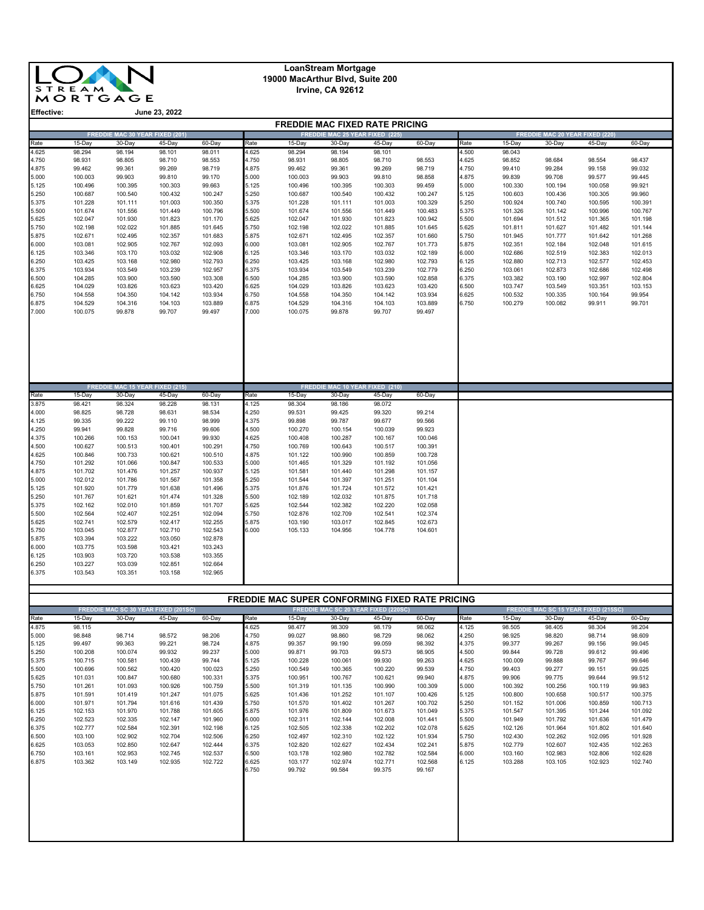

# **LoanStream Mortgage 19000 MacArthur Blvd, Suite 200**

**Irvine, CA 92612**

| LIIGUUVG.      |                    |                                        | JUIIT LJ, LULL                                 |                    |                | <b>FREDDIE MAC FIXED RATE PRICING</b> |                                        |                                                       |                                                        |                |                    |                                        |                                                       |                    |
|----------------|--------------------|----------------------------------------|------------------------------------------------|--------------------|----------------|---------------------------------------|----------------------------------------|-------------------------------------------------------|--------------------------------------------------------|----------------|--------------------|----------------------------------------|-------------------------------------------------------|--------------------|
|                |                    | <b>FREDDIE MAC 30 YEAR FIXED (201)</b> |                                                |                    |                |                                       | <b>FREDDIE MAC 25 YEAR FIXED (225)</b> |                                                       |                                                        |                |                    | <b>FREDDIE MAC 20 YEAR FIXED (220)</b> |                                                       |                    |
| Rate           | 15-Day             | 30-Day                                 | 45-Day                                         | 60-Day             | Rate           | 15-Day                                | 30-Day                                 | 45-Day                                                | 60-Day                                                 | Rate           | 15-Day             | 30-Day                                 | 45-Day                                                | 60-Day             |
| 4.625          | 98.294             | 98.194                                 | 98.101                                         | 98.011             | 4.625          | 98.294                                | 98.194                                 | 98.101                                                |                                                        | 4.500          | 98.043             |                                        |                                                       |                    |
| 4.750          | 98.931             | 98.805                                 | 98.710                                         | 98.553             | 4.750          | 98.931                                | 98.805                                 | 98.710                                                | 98.553                                                 | 4.625          | 98.852             | 98.684                                 | 98.554                                                | 98.437             |
| 4.875          | 99.462             | 99.361                                 | 99.269                                         | 98.719             | 4.875          | 99.462                                | 99.361                                 | 99.269                                                | 98.719                                                 | 4.750          | 99.410             | 99.284                                 | 99.158                                                | 99.032             |
| 5.000<br>5.125 | 100.003<br>100.496 | 99.903<br>100.395                      | 99.810<br>100.303                              | 99.170<br>99.663   | 5.000<br>5.125 | 100.003<br>100.496                    | 99.903<br>100.395                      | 99.810<br>100.303                                     | 98.858<br>99.459                                       | 4.875<br>5.000 | 99.839<br>100.330  | 99.708<br>100.194                      | 99.577<br>100.058                                     | 99.445<br>99.921   |
| 5.250          | 100.687            | 100.540                                | 100.432                                        | 100.247            | 5.250          | 100.687                               | 100.540                                | 100.432                                               | 100.247                                                | 5.125          | 100.603            | 100.436                                | 100.305                                               | 99.960             |
| 5.375          | 101.228            | 101.111                                | 101.003                                        | 100.350            | 5.375          | 101.228                               | 101.111                                | 101.003                                               | 100.329                                                | 5.250          | 100.924            | 100.740                                | 100.595                                               | 100.391            |
| 5.500          | 101.674            | 101.556                                | 101.449                                        | 100.796            | 5.500          | 101.674                               | 101.556                                | 101.449                                               | 100.483                                                | 5.375          | 101.326            | 101.142                                | 100.996                                               | 100.767            |
| 5.625          | 102.047            | 101.930                                | 101.823                                        | 101.170            | 5.625          | 102.047                               | 101.930                                | 101.823                                               | 100.942                                                | 5.500          | 101.694            | 101.512                                | 101.365                                               | 101.198            |
| 5.750          | 102.198            | 102.022                                | 101.885                                        | 101.645            | 5.750          | 102.198                               | 102.022                                | 101.885                                               | 101.645                                                | 5.625          | 101.811            | 101.627                                | 101.482                                               | 101.144            |
| 5.875          | 102.671            | 102.495                                | 102.357                                        | 101.683            | 5.875          | 102.671                               | 102.495                                | 102.357                                               | 101.660                                                | 5.750          | 101.945            | 101.777                                | 101.642                                               | 101.268            |
| 6.000          | 103.081            | 102.905                                | 102.767                                        | 102.093            | 6.000          | 103.081                               | 102.905                                | 102.767                                               | 101.773                                                | 5.875          | 102.351            | 102.184                                | 102.048                                               | 101.615            |
| 6.125<br>6.250 | 103.346<br>103.425 | 103.170<br>103.168                     | 103.032<br>102.980                             | 102.908<br>102.793 | 6.125<br>6.250 | 103.346<br>103.425                    | 103.170<br>103.168                     | 103.032<br>102.980                                    | 102.189<br>102.793                                     | 6.000<br>6.125 | 102.686<br>102.880 | 102.519<br>102.713                     | 102.383<br>102.577                                    | 102.013<br>102.453 |
| 6.375          | 103.934            | 103.549                                | 103.239                                        | 102.957            | 6.375          | 103.934                               | 103.549                                | 103.239                                               | 102.779                                                | 6.250          | 103.061            | 102.873                                | 102.686                                               | 102.498            |
| 6.500          | 104.285            | 103.900                                | 103.590                                        | 103.308            | 6.500          | 104.285                               | 103.900                                | 103.590                                               | 102.858                                                | 6.375          | 103.382            | 103.190                                | 102.997                                               | 102.804            |
| 6.625          | 104.029            | 103.826                                | 103.623                                        | 103.420            | 6.625          | 104.029                               | 103.826                                | 103.623                                               | 103.420                                                | 6.500          | 103.747            | 103.549                                | 103.351                                               | 103.153            |
| 6.750          | 104.558            | 104.350                                | 104.142                                        | 103.934            | 6.750          | 104.558                               | 104.350                                | 104.142                                               | 103.934                                                | 6.625          | 100.532            | 100.335                                | 100.164                                               | 99.954             |
| 6.875          | 104.529            | 104.316                                | 104.103                                        | 103.889            | 6.875          | 104.529                               | 104.316                                | 104.103                                               | 103.889                                                | 6.750          | 100.279            | 100.082                                | 99.911                                                | 99.701             |
| 7.000          | 100.075            | 99.878                                 | 99.707                                         | 99.497             | 7.000          | 100.075                               | 99.878                                 | 99.707                                                | 99.497                                                 |                |                    |                                        |                                                       |                    |
|                |                    | <b>FREDDIE MAC 15 YEAR FIXED (215)</b> |                                                |                    |                |                                       | FREDDIE MAC 10 YEAR FIXED (210)        |                                                       |                                                        |                |                    |                                        |                                                       |                    |
| Rate           | 15-Day             | 30-Day                                 | 45-Day                                         | 60-Day             | Rate           | 15-Day                                | 30-Day                                 | 45-Day                                                | 60-Day                                                 |                |                    |                                        |                                                       |                    |
| 3.875          | 98.421             | 98.324                                 | 98.228                                         | 98.131             | 4.125          | 98.304                                | 98.186                                 | 98.072                                                |                                                        |                |                    |                                        |                                                       |                    |
| 4.000<br>4.125 | 98.825<br>99.335   | 98.728<br>99.222                       | 98.631<br>99.110                               | 98.534<br>98.999   | 4.250<br>4.375 | 99.531<br>99.898                      | 99.425<br>99.787                       | 99.320<br>99.677                                      | 99.214<br>99.566                                       |                |                    |                                        |                                                       |                    |
| 4.250          | 99.941             | 99.828                                 | 99.716                                         | 99.606             | 4.500          | 100.270                               | 100.154                                | 100.039                                               | 99.923                                                 |                |                    |                                        |                                                       |                    |
| 4.375          | 100.266            | 100.153                                | 100.041                                        | 99.930             | 4.625          | 100.408                               | 100.287                                | 100.167                                               | 100.046                                                |                |                    |                                        |                                                       |                    |
| 4.500          | 100.627            | 100.513                                | 100.401                                        | 100.291            | 4.750          | 100.769                               | 100.643                                | 100.517                                               | 100.391                                                |                |                    |                                        |                                                       |                    |
| 4.625          | 100.846            | 100.733                                | 100.621                                        | 100.510            | 4.875          | 101.122                               | 100.990                                | 100.859                                               | 100.728                                                |                |                    |                                        |                                                       |                    |
| 4.750          | 101.292            | 101.066                                | 100.847                                        | 100.533            | 5.000          | 101.465                               | 101.329                                | 101.192                                               | 101.056                                                |                |                    |                                        |                                                       |                    |
| 4.875          | 101.702            | 101.476                                | 101.257                                        | 100.937            | 5.125          | 101.581                               | 101.440                                | 101.298                                               | 101.157                                                |                |                    |                                        |                                                       |                    |
| 5.000          | 102.012            | 101.786                                | 101.567                                        | 101.358            | 5.250          | 101.544                               | 101.397                                | 101.251                                               | 101.104                                                |                |                    |                                        |                                                       |                    |
| 5.125<br>5.250 | 101.920            | 101.779                                | 101.638                                        | 101.496            | 5.375<br>5.500 | 101.876                               | 101.724                                | 101.572                                               | 101.421                                                |                |                    |                                        |                                                       |                    |
| 5.375          | 101.767<br>102.162 | 101.621<br>102.010                     | 101.474<br>101.859                             | 101.328<br>101.707 | 5.625          | 102.189<br>102.544                    | 102.032<br>102.382                     | 101.875<br>102.220                                    | 101.718<br>102.058                                     |                |                    |                                        |                                                       |                    |
| 5.500          | 102.564            | 102.407                                | 102.251                                        | 102.094            | 5.750          | 102.876                               | 102.709                                | 102.541                                               | 102.374                                                |                |                    |                                        |                                                       |                    |
| 5.625          | 102.741            | 102.579                                | 102.417                                        | 102.255            | 5.875          | 103.190                               | 103.017                                | 102.845                                               | 102.673                                                |                |                    |                                        |                                                       |                    |
| 5.750          | 103.045            | 102.877                                | 102.710                                        | 102.543            | 6.000          | 105.133                               | 104.956                                | 104.778                                               | 104.601                                                |                |                    |                                        |                                                       |                    |
| 5.875          | 103.394            | 103.222                                | 103.050                                        | 102.878            |                |                                       |                                        |                                                       |                                                        |                |                    |                                        |                                                       |                    |
| 6.000          | 103.775            | 103.598                                | 103.421                                        | 103.243            |                |                                       |                                        |                                                       |                                                        |                |                    |                                        |                                                       |                    |
| 6.125<br>6.250 | 103.903<br>103.227 | 103.720<br>103.039                     | 103.538<br>102.851                             | 103.355<br>102.664 |                |                                       |                                        |                                                       |                                                        |                |                    |                                        |                                                       |                    |
| 6.375          | 103.543            | 103.351                                | 103.158                                        | 102.965            |                |                                       |                                        |                                                       |                                                        |                |                    |                                        |                                                       |                    |
|                |                    |                                        |                                                |                    |                |                                       |                                        |                                                       |                                                        |                |                    |                                        |                                                       |                    |
|                |                    |                                        |                                                |                    |                |                                       |                                        |                                                       |                                                        |                |                    |                                        |                                                       |                    |
|                |                    |                                        |                                                |                    |                |                                       |                                        |                                                       | <b>FREDDIE MAC SUPER CONFORMING FIXED RATE PRICING</b> |                |                    |                                        |                                                       |                    |
| Rate           | 15-Day             | 30-Day                                 | FREDDIE MAC SC 30 YEAR FIXED (201SC)<br>45-Day | 60-Day             | Rate           | 15-Day                                | 30-Day                                 | <b>FREDDIE MAC SC 20 YEAR FIXED (220SC)</b><br>45-Day | 60-Day                                                 | Rate           | 15-Day             | 30-Day                                 | <b>FREDDIE MAC SC 15 YEAR FIXED (215SC)</b><br>45-Day | 60-Day             |
| 4.875          | 98.115             |                                        |                                                |                    | 4.625          | 98.477                                | 98.309                                 | 98.179                                                | 98.062                                                 | 4.125          | 98.505             | 98.405                                 | 98.304                                                | 98.204             |
| 5.000          | 98.848             | 98.714                                 | 98.572                                         | 98.206             | 4.750          | 99.027                                | 98.860                                 | 98.729                                                | 98.062                                                 | 4.250          | 98.925             | 98.820                                 | 98.714                                                | 98.609             |
| 5.125          | 99.497             | 99.363                                 | 99.221                                         | 98.724             | 4.875          | 99.357                                | 99.190                                 | 99.059                                                | 98.392                                                 | 4.375          | 99.377             | 99.267                                 | 99.156                                                | 99.045             |
| 5.250          | 100.208            | 100.074                                | 99.932                                         | 99.237             | 5.000          | 99.871                                | 99.703                                 | 99.573                                                | 98.905                                                 | 4.500          | 99.844             | 99.728                                 | 99.612                                                | 99.496             |
| 5.375          | 100.715            | 100.581                                | 100.439                                        | 99.744             | 5.125          | 100.228                               | 100.061                                | 99.930                                                | 99.263                                                 | 4.625          | 100.009            | 99.888                                 | 99.767                                                | 99.646             |
| 5.500<br>5.625 | 100.696<br>101.031 | 100.562<br>100.847                     | 100.420<br>100.680                             | 100.023<br>100.331 | 5.250<br>5.375 | 100.549<br>100.951                    | 100.365<br>100.767                     | 100.220<br>100.621                                    | 99.539<br>99.940                                       | 4.750<br>4.875 | 99.403<br>99.906   | 99.277<br>99.775                       | 99.151<br>99.644                                      | 99.025<br>99.512   |
| 5.750          | 101.261            | 101.093                                | 100.926                                        | 100.759            | 5.500          | 101.319                               | 101.135                                | 100.990                                               | 100.309                                                | 5.000          | 100.392            | 100.256                                | 100.119                                               | 99.983             |
| 5.875          | 101.591            | 101.419                                | 101.247                                        | 101.075            | 5.625          | 101.436                               | 101.252                                | 101.107                                               | 100.426                                                | 5.125          | 100.800            | 100.658                                | 100.517                                               | 100.375            |
| 6.000          | 101.971            | 101.794                                | 101.616                                        | 101.439            | 5.750          | 101.570                               | 101.402                                | 101.267                                               | 100.702                                                | 5.250          | 101.152            | 101.006                                | 100.859                                               | 100.713            |
| 6.125          | 102.153            | 101.970                                | 101.788                                        | 101.605            | 5.875          | 101.976                               | 101.809                                | 101.673                                               | 101.049                                                | 5.375          | 101.547            | 101.395                                | 101.244                                               | 101.092            |
| 6.250          | 102.523            | 102.335                                | 102.147                                        | 101.960            | 6.000          | 102.311                               | 102.144                                | 102.008                                               | 101.441                                                | 5.500          | 101.949            | 101.792                                | 101.636                                               | 101.479            |
| 6.375<br>6.500 | 102.777            | 102.584                                | 102.391                                        | 102.198            | 6.125          | 102.505                               | 102.338                                | 102.202                                               | 102.078                                                | 5.625<br>5.750 | 102.126            | 101.964                                | 101.802                                               | 101.640            |
| 6.625          | 103.100<br>103.053 | 102.902<br>102.850                     | 102.704<br>102.647                             | 102.506<br>102.444 | 6.250<br>6.375 | 102.497<br>102.820                    | 102.310<br>102.627                     | 102.122<br>102.434                                    | 101.934<br>102.241                                     | 5.875          | 102.430<br>102.779 | 102.262<br>102.607                     | 102.095<br>102.435                                    | 101.928<br>102.263 |
| 6.750          | 103.161            | 102.953                                | 102.745                                        | 102.537            | 6.500          | 103.178                               | 102.980                                | 102.782                                               | 102.584                                                | 6.000          | 103.160            | 102.983                                | 102.806                                               | 102.628            |
| 6.875          | 103.362            | 103.149                                | 102.935                                        | 102.722            | 6.625          | 103.177                               | 102.974                                | 102.771                                               | 102.568                                                | 6.125          | 103.288            | 103.105                                | 102.923                                               | 102.740            |
|                |                    |                                        |                                                |                    | 6.750          | 99.792                                | 99.584                                 | 99.375                                                | 99.167                                                 |                |                    |                                        |                                                       |                    |
|                |                    |                                        |                                                |                    |                |                                       |                                        |                                                       |                                                        |                |                    |                                        |                                                       |                    |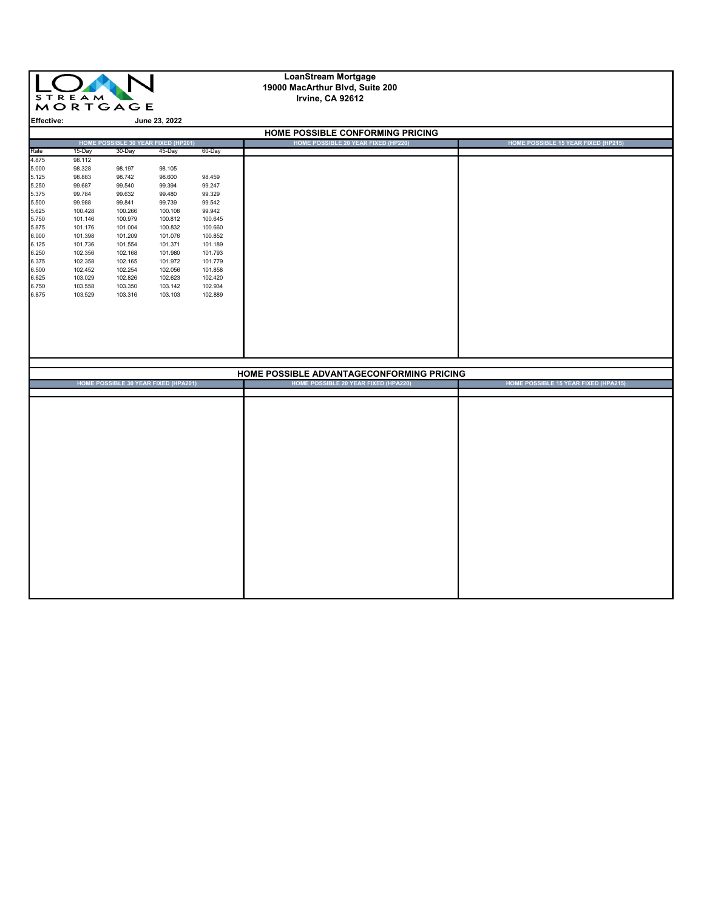|                   | $\mathbf{L}$<br><b>STREAM</b> | <b>MORTGAGE</b>    |                                             |                    | <b>LoanStream Mortgage</b><br>19000 MacArthur Blvd, Suite 200<br>Irvine, CA 92612 |                                      |
|-------------------|-------------------------------|--------------------|---------------------------------------------|--------------------|-----------------------------------------------------------------------------------|--------------------------------------|
| <b>Effective:</b> |                               |                    | June 23, 2022                               |                    |                                                                                   |                                      |
|                   |                               |                    |                                             |                    | HOME POSSIBLE CONFORMING PRICING                                                  |                                      |
|                   |                               |                    | HOME POSSIBLE 30 YEAR FIXED (HP201)         |                    | HOME POSSIBLE 20 YEAR FIXED (HP220)                                               | HOME POSSIBLE 15 YEAR FIXED (HP215)  |
| Rate              | 15-Day                        | 30-Day             | 45-Day                                      | 60-Day             |                                                                                   |                                      |
| 4.875             | 98.112                        |                    |                                             |                    |                                                                                   |                                      |
| 5.000             | 98.328                        | 98.197             | 98.105                                      |                    |                                                                                   |                                      |
| 5.125<br>5.250    | 98.883<br>99.687              | 98.742<br>99.540   | 98.600<br>99.394                            | 98.459<br>99.247   |                                                                                   |                                      |
| 5.375             | 99.784                        | 99.632             | 99.480                                      | 99.329             |                                                                                   |                                      |
| 5.500             | 99.988                        | 99.841             | 99.739                                      | 99.542             |                                                                                   |                                      |
| 5.625             | 100.428                       | 100.266            | 100.108                                     | 99.942             |                                                                                   |                                      |
| 5.750             | 101.146                       | 100.979            | 100.812                                     | 100.645            |                                                                                   |                                      |
| 5.875             | 101.176                       | 101.004            | 100.832                                     | 100.660            |                                                                                   |                                      |
| 6.000             | 101.398                       | 101.209            | 101.076                                     | 100.852            |                                                                                   |                                      |
| 6.125             | 101.736                       | 101.554            | 101.371                                     | 101.189            |                                                                                   |                                      |
| 6.250<br>6.375    | 102.356<br>102.358            | 102.168<br>102.165 | 101.980<br>101.972                          | 101.793<br>101.779 |                                                                                   |                                      |
| 6.500             | 102.452                       | 102.254            | 102.056                                     | 101.858            |                                                                                   |                                      |
| 6.625             | 103.029                       | 102.826            | 102.623                                     | 102.420            |                                                                                   |                                      |
| 6.750             | 103.558                       | 103.350            | 103.142                                     | 102.934            |                                                                                   |                                      |
| 6.875             | 103.529                       | 103.316            | 103.103                                     | 102.889            |                                                                                   |                                      |
|                   |                               |                    |                                             |                    |                                                                                   |                                      |
|                   |                               |                    |                                             |                    |                                                                                   |                                      |
|                   |                               |                    |                                             |                    |                                                                                   |                                      |
|                   |                               |                    |                                             |                    |                                                                                   |                                      |
|                   |                               |                    |                                             |                    |                                                                                   |                                      |
|                   |                               |                    |                                             |                    |                                                                                   |                                      |
|                   |                               |                    |                                             |                    |                                                                                   |                                      |
|                   |                               |                    |                                             |                    | HOME POSSIBLE ADVANTAGECONFORMING PRICING                                         |                                      |
|                   |                               |                    | <b>HOME POSSIBLE 30 YEAR FIXED (HPA201)</b> |                    | HOME POSSIBLE 20 YEAR FIXED (HPA220)                                              | HOME POSSIBLE 15 YEAR FIXED (HPA215) |
|                   |                               |                    |                                             |                    |                                                                                   |                                      |
|                   |                               |                    |                                             |                    |                                                                                   |                                      |
|                   |                               |                    |                                             |                    |                                                                                   |                                      |
|                   |                               |                    |                                             |                    |                                                                                   |                                      |
|                   |                               |                    |                                             |                    |                                                                                   |                                      |
|                   |                               |                    |                                             |                    |                                                                                   |                                      |
|                   |                               |                    |                                             |                    |                                                                                   |                                      |
|                   |                               |                    |                                             |                    |                                                                                   |                                      |
|                   |                               |                    |                                             |                    |                                                                                   |                                      |
|                   |                               |                    |                                             |                    |                                                                                   |                                      |
|                   |                               |                    |                                             |                    |                                                                                   |                                      |
|                   |                               |                    |                                             |                    |                                                                                   |                                      |
|                   |                               |                    |                                             |                    |                                                                                   |                                      |
|                   |                               |                    |                                             |                    |                                                                                   |                                      |
|                   |                               |                    |                                             |                    |                                                                                   |                                      |
|                   |                               |                    |                                             |                    |                                                                                   |                                      |
|                   |                               |                    |                                             |                    |                                                                                   |                                      |
|                   |                               |                    |                                             |                    |                                                                                   |                                      |
|                   |                               |                    |                                             |                    |                                                                                   |                                      |
|                   |                               |                    |                                             |                    |                                                                                   |                                      |
|                   |                               |                    |                                             |                    |                                                                                   |                                      |
|                   |                               |                    |                                             |                    |                                                                                   |                                      |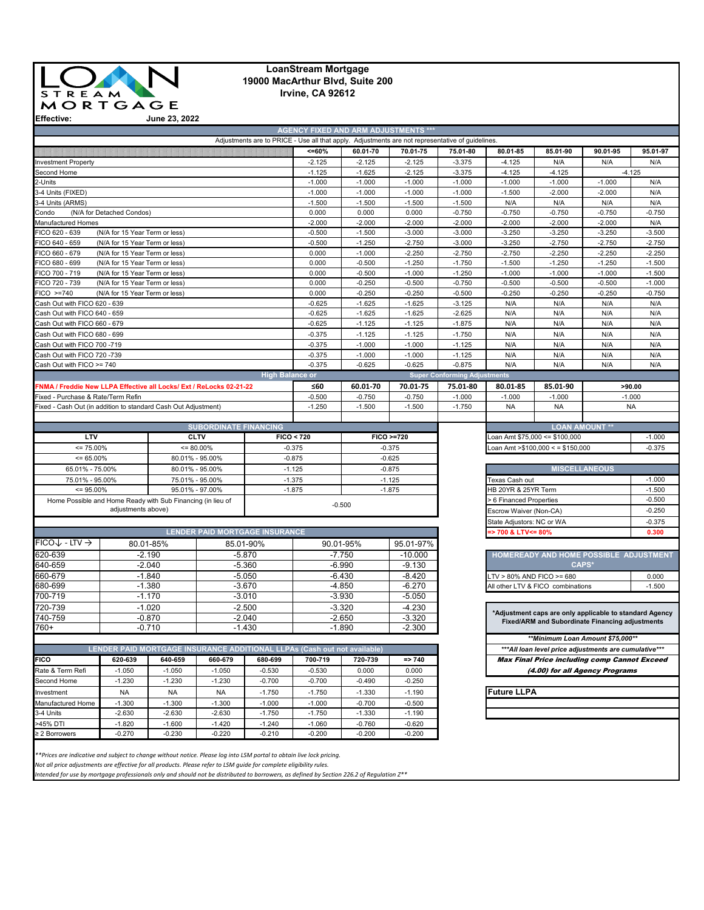

## **LoanStream Mortgage 19000 MacArthur Blvd, Suite 200 Irvine, CA 92612**

**June 23, 2022**

|                                                                     |                                |           |                                                                          |                        | $< = 60%$            | 60.01-70  | Adjustments are to PRICE - Use all that apply. Adjustments are not representative of guidelines.<br>70.01-75 | 75.01-80                            | 80.01-85                              | 85.01-90                                                | 90.01-95 | 95.01-97          |
|---------------------------------------------------------------------|--------------------------------|-----------|--------------------------------------------------------------------------|------------------------|----------------------|-----------|--------------------------------------------------------------------------------------------------------------|-------------------------------------|---------------------------------------|---------------------------------------------------------|----------|-------------------|
| <b>Investment Property</b>                                          |                                |           |                                                                          |                        | $-2.125$             | $-2.125$  | $-2.125$                                                                                                     | $-3.375$                            | $-4.125$                              | N/A                                                     | N/A      | N/A               |
| Second Home                                                         |                                |           |                                                                          |                        | $-1.125$             | $-1.625$  | $-2.125$                                                                                                     | $-3.375$                            | $-4.125$                              | $-4.125$                                                |          | $-4.125$          |
| 2-Units                                                             |                                |           |                                                                          |                        | $-1.000$             | $-1.000$  | $-1.000$                                                                                                     | $-1.000$                            | $-1.000$                              | $-1.000$                                                | $-1.000$ | N/A               |
| 3-4 Units (FIXED)                                                   |                                |           |                                                                          |                        | $-1.000$             | $-1.000$  | $-1.000$                                                                                                     | $-1.000$                            | $-1.500$                              | $-2.000$                                                | $-2.000$ | N/A               |
| 3-4 Units (ARMS)                                                    |                                |           |                                                                          |                        | $-1.500$             | $-1.500$  | $-1.500$                                                                                                     | $-1.500$                            | N/A                                   | N/A                                                     | N/A      | N/A               |
| Condo                                                               | (N/A for Detached Condos)      |           |                                                                          |                        | 0.000                | 0.000     | 0.000                                                                                                        | $-0.750$                            | $-0.750$                              | $-0.750$                                                | $-0.750$ | $-0.750$          |
| Manufactured Homes                                                  |                                |           |                                                                          |                        | $-2.000$             | $-2.000$  | $-2.000$                                                                                                     | $-2.000$                            | $-2.000$                              | $-2.000$                                                | $-2.000$ | N/A               |
| FICO 620 - 639                                                      | (N/A for 15 Year Term or less) |           |                                                                          |                        | $-0.500$             | $-1.500$  | $-3.000$                                                                                                     | $-3.000$                            | $-3.250$                              | $-3.250$                                                | $-3.250$ | $-3.500$          |
| FICO 640 - 659                                                      | (N/A for 15 Year Term or less) |           |                                                                          |                        | $-0.500$             | $-1.250$  | $-2.750$                                                                                                     | $-3.000$                            | $-3.250$                              | $-2.750$                                                | $-2.750$ | $-2.750$          |
| FICO 660 - 679                                                      | (N/A for 15 Year Term or less) |           |                                                                          |                        | 0.000                | $-1.000$  | $-2.250$                                                                                                     | $-2.750$                            | $-2.750$                              | $-2.250$                                                | $-2.250$ | $-2.250$          |
| FICO 680 - 699                                                      | (N/A for 15 Year Term or less) |           |                                                                          |                        | 0.000                | $-0.500$  | $-1.250$                                                                                                     | $-1.750$                            | $-1.500$                              | $-1.250$                                                | $-1.250$ | $-1.500$          |
| FICO 700 - 719                                                      | (N/A for 15 Year Term or less) |           |                                                                          |                        | 0.000                | $-0.500$  | $-1.000$                                                                                                     | $-1.250$                            | $-1.000$                              | $-1.000$                                                | $-1.000$ | $-1.500$          |
| FICO 720 - 739                                                      | (N/A for 15 Year Term or less) |           |                                                                          |                        | 0.000                | $-0.250$  | $-0.500$                                                                                                     | $-0.750$                            | $-0.500$                              | $-0.500$                                                | $-0.500$ | $-1.000$          |
| FICO >=740                                                          | (N/A for 15 Year Term or less) |           |                                                                          |                        | 0.000                | $-0.250$  | $-0.250$                                                                                                     | $-0.500$                            | $-0.250$                              | $-0.250$                                                | $-0.250$ | $-0.750$          |
| Cash Out with FICO 620 - 639                                        |                                |           |                                                                          |                        | $-0.625$             | $-1.625$  | $-1.625$                                                                                                     | $-3.125$                            | N/A                                   | N/A                                                     | N/A      | N/A               |
| Cash Out with FICO 640 - 659                                        |                                |           |                                                                          |                        | $-0.625$             | $-1.625$  | $-1.625$                                                                                                     | $-2.625$                            | N/A                                   | N/A                                                     | N/A      | N/A               |
| Cash Out with FICO 660 - 679                                        |                                |           |                                                                          |                        | $-0.625$             | $-1.125$  | $-1.125$                                                                                                     | $-1.875$                            | N/A                                   | N/A                                                     | N/A      | N/A               |
| Cash Out with FICO 680 - 699                                        |                                |           |                                                                          |                        | $-0.375$             | $-1.125$  | $-1.125$                                                                                                     | $-1.750$                            | N/A                                   | N/A                                                     | N/A      | N/A               |
| Cash Out with FICO 700 -719                                         |                                |           |                                                                          |                        | $-0.375$             | $-1.000$  | $-1.000$                                                                                                     | $-1.125$                            | N/A                                   | N/A                                                     | N/A      | N/A               |
| Cash Out with FICO 720 -739                                         |                                |           |                                                                          |                        | $-0.375$             | $-1.000$  | $-1.000$                                                                                                     | $-1.125$                            | N/A                                   | N/A                                                     | N/A      | N/A               |
| Cash Out with FICO >= 740                                           |                                |           |                                                                          |                        | $-0.375$             | $-0.625$  | $-0.625$                                                                                                     | $-0.875$                            | N/A                                   | N/A                                                     | N/A      | N/A               |
|                                                                     |                                |           |                                                                          | <b>High Balance or</b> |                      |           |                                                                                                              | <b>Super Conforming Adjustments</b> |                                       |                                                         |          |                   |
| FNMA / Freddie New LLPA Effective all Locks/ Ext / ReLocks 02-21-22 |                                |           |                                                                          |                        | ≤60                  | 60.01-70  | 70.01-75                                                                                                     | 75.01-80                            | 80.01-85                              | 85.01-90                                                |          | >90.00            |
| Fixed - Purchase & Rate/Term Refin                                  |                                |           |                                                                          |                        | $-0.500$             | $-0.750$  | $-0.750$                                                                                                     | $-1.000$                            | $-1.000$                              | $-1.000$                                                |          | $-1.000$          |
| Fixed - Cash Out (in addition to standard Cash Out Adjustment)      |                                |           |                                                                          |                        | $-1.250$             | $-1.500$  | $-1.500$                                                                                                     | $-1.750$                            | <b>NA</b>                             | <b>NA</b>                                               |          | <b>NA</b>         |
|                                                                     |                                |           |                                                                          |                        |                      |           |                                                                                                              |                                     |                                       |                                                         |          |                   |
|                                                                     |                                |           | <b>SUBORDINATE FINANCING</b>                                             |                        |                      |           |                                                                                                              |                                     |                                       | <b>LOAN AMOUNT **</b>                                   |          |                   |
| LTV                                                                 |                                |           | <b>CLTV</b>                                                              |                        | FICO < 720           |           | FICO >=720                                                                                                   |                                     |                                       | oan Amt \$75,000 <= \$100,000                           |          | $-1.000$          |
| $= 75.00\%$                                                         |                                |           | $= 80.00\%$                                                              |                        | $-0.375$<br>$-0.375$ |           |                                                                                                              |                                     |                                       | Loan Amt > \$100,000 < = \$150,000                      |          | $-0.375$          |
| $= 65.00\%$                                                         |                                |           | 80.01% - 95.00%                                                          |                        | $-0.875$<br>$-0.625$ |           |                                                                                                              |                                     |                                       |                                                         |          |                   |
| 65.01% - 75.00%                                                     |                                |           | 80.01% - 95.00%                                                          |                        | $-1.125$             |           | $-0.875$                                                                                                     |                                     | <b>MISCELLANEOUS</b>                  |                                                         |          |                   |
| 75.01% - 95.00%                                                     |                                |           | 75.01% - 95.00%                                                          |                        | $-1.375$<br>$-1.125$ |           |                                                                                                              |                                     | Texas Cash out<br>$-1.000$            |                                                         |          |                   |
| $= 95.00\%$                                                         |                                |           | 95.01% - 97.00%                                                          |                        | $-1.875$<br>$-1.875$ |           |                                                                                                              | 1B 20YR & 25YR Term                 |                                       |                                                         |          | $-1.500$          |
| Home Possible and Home Ready with Sub Financing (in lieu of         |                                |           |                                                                          |                        |                      |           |                                                                                                              | 6 Financed Properties               |                                       |                                                         |          | $-0.500$          |
|                                                                     | adjustments above)             |           |                                                                          |                        |                      | $-0.500$  |                                                                                                              |                                     | Escrow Waiver (Non-CA)                |                                                         |          |                   |
|                                                                     |                                |           |                                                                          |                        |                      |           |                                                                                                              |                                     | $-0.250$<br>State Adjustors: NC or WA |                                                         |          |                   |
|                                                                     |                                |           | <b>LENDER PAID MORTGAGE INSURANCE</b>                                    |                        |                      |           |                                                                                                              |                                     | > 700 & LTV<= 80%                     |                                                         |          | $-0.375$<br>0.300 |
| FICO↓ - LTV →                                                       |                                | 80.01-85% | 85.01-90%                                                                |                        |                      | 90.01-95% | 95.01-97%                                                                                                    |                                     |                                       |                                                         |          |                   |
|                                                                     |                                |           |                                                                          |                        |                      |           |                                                                                                              |                                     |                                       |                                                         |          |                   |
| 620-639                                                             |                                | $-2.190$  |                                                                          | $-5.870$               |                      | $-7.750$  | $-10.000$                                                                                                    |                                     |                                       | HOMEREADY AND HOME POSSIBLE ADJUSTMENT<br>CAPS*         |          |                   |
| 640-659                                                             |                                | $-2.040$  |                                                                          | $-5.360$               |                      | $-6.990$  | $-9.130$                                                                                                     |                                     |                                       |                                                         |          |                   |
| 660-679                                                             |                                | $-1.840$  |                                                                          | $-5.050$               |                      | $-6.430$  | $-8.420$                                                                                                     |                                     | TV > 80% AND FICO >= 680              |                                                         |          | 0.000             |
| 680-699                                                             |                                | $-1.380$  |                                                                          | $-3.670$               |                      | $-4.850$  | $-6.270$                                                                                                     |                                     | All other LTV & FICO combinations     |                                                         | $-1.500$ |                   |
| 700-719                                                             |                                | $-1.170$  |                                                                          | $-3.010$               |                      | $-3.930$  | $-5.050$                                                                                                     |                                     |                                       |                                                         |          |                   |
| 720-739                                                             |                                | $-1.020$  |                                                                          | $-2.500$               |                      | $-3.320$  | $-4.230$                                                                                                     |                                     |                                       | *Adjustment caps are only applicable to standard Agency |          |                   |
| 740-759                                                             |                                | $-0.870$  |                                                                          | $-2.040$               |                      | $-2.650$  | $-3.320$                                                                                                     |                                     |                                       | Fixed/ARM and Subordinate Financing adjustments         |          |                   |
| 760+                                                                |                                | $-0.710$  |                                                                          | $-1.430$               |                      | $-1.890$  | $-2.300$                                                                                                     |                                     |                                       |                                                         |          |                   |
|                                                                     |                                |           |                                                                          |                        |                      |           |                                                                                                              |                                     |                                       | **Minimum Loan Amount \$75.000**                        |          |                   |
|                                                                     |                                |           | LENDER PAID MORTGAGE INSURANCE ADDITIONAL LLPAs (Cash out not available) |                        |                      |           |                                                                                                              |                                     |                                       | *** All loan level price adjustments are cumulative***  |          |                   |
| FICO                                                                | 620-639                        | 640-659   | 660-679                                                                  | 680-699                | 700-719              | 720-739   | $\Rightarrow$ 740                                                                                            |                                     |                                       | <b>Max Final Price including comp Cannot Exceed</b>     |          |                   |
| Rate & Term Refi                                                    | $-1.050$                       | $-1.050$  | $-1.050$                                                                 | $-0.530$               | $-0.530$             | 0.000     | 0.000                                                                                                        |                                     |                                       | (4.00) for all Agency Programs                          |          |                   |
| Second Home                                                         | $-1.230$                       | $-1.230$  | $-1.230$                                                                 | $-0.700$               | $-0.700$             | $-0.490$  | $-0.250$                                                                                                     |                                     |                                       |                                                         |          |                   |
| Investment                                                          | NA                             | NA        | NA                                                                       | $-1.750$               | $-1.750$             | $-1.330$  | $-1.190$                                                                                                     |                                     | <b>Future LLPA</b>                    |                                                         |          |                   |
|                                                                     | $-1.300$                       | $-1.300$  | $-1.300$                                                                 | $-1.000$               | $-1.000$             | $-0.700$  | $-0.500$                                                                                                     |                                     |                                       |                                                         |          |                   |
|                                                                     | $-2.630$                       | $-2.630$  | $-2.630$                                                                 | $-1.750$               | $-1.750$             | $-1.330$  | $-1.190$                                                                                                     |                                     |                                       |                                                         |          |                   |
|                                                                     |                                |           |                                                                          |                        | $-1.060$             | $-0.760$  | $-0.620$                                                                                                     |                                     |                                       |                                                         |          |                   |
| Manufactured Home<br>3-4 Units<br>>45% DTI                          | $-1.820$                       | $-1.600$  | $-1.420$                                                                 | $-1.240$               |                      |           |                                                                                                              |                                     |                                       |                                                         |          |                   |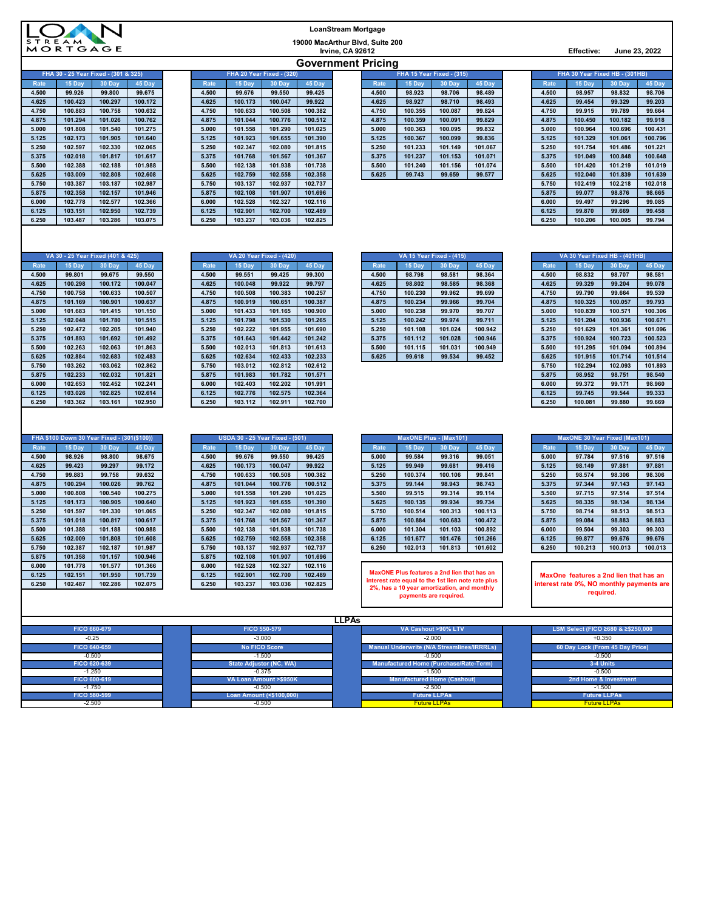| <b>STREAM</b> |
|---------------|
| MORTGAGE      |

| LoanStream Mortgage                                 |
|-----------------------------------------------------|
| 19000 MacArthur Blvd, Suite 200<br>Irvine, CA 92612 |
| <b>Government Pricing</b>                           |

**Irvine, CA 92612 Effective: June 23, 2022**

| FHA 30 - 25 Year Fixed - (301 & 325) |         |         |         |  |  |  |  |  |  |  |  |
|--------------------------------------|---------|---------|---------|--|--|--|--|--|--|--|--|
| Rate                                 | 15 Day  | 30 Day  | 45 Day  |  |  |  |  |  |  |  |  |
| 4.500                                | 99.926  | 99.800  | 99.675  |  |  |  |  |  |  |  |  |
| 4.625                                | 100.423 | 100.297 | 100.172 |  |  |  |  |  |  |  |  |
| 4.750                                | 100.883 | 100.758 | 100.632 |  |  |  |  |  |  |  |  |
| 4.875                                | 101.294 | 101.026 | 100.762 |  |  |  |  |  |  |  |  |
| 5.000                                | 101.808 | 101.540 | 101.275 |  |  |  |  |  |  |  |  |
| 5.125                                | 102.173 | 101.905 | 101.640 |  |  |  |  |  |  |  |  |
| 5.250                                | 102.597 | 102.330 | 102.065 |  |  |  |  |  |  |  |  |
| 5.375                                | 102.018 | 101.817 | 101.617 |  |  |  |  |  |  |  |  |
| 5.500                                | 102.388 | 102.188 | 101.988 |  |  |  |  |  |  |  |  |
| 5.625                                | 103.009 | 102.808 | 102.608 |  |  |  |  |  |  |  |  |
| 5.750                                | 103.387 | 103.187 | 102.987 |  |  |  |  |  |  |  |  |
| 5.875                                | 102.358 | 102.157 | 101.946 |  |  |  |  |  |  |  |  |
| 6.000                                | 102.778 | 102.577 | 102.366 |  |  |  |  |  |  |  |  |
| 6.125                                | 103.151 | 102.950 | 102.739 |  |  |  |  |  |  |  |  |
| 6.250                                | 103.487 | 103.286 | 103.075 |  |  |  |  |  |  |  |  |
|                                      |         |         |         |  |  |  |  |  |  |  |  |

| <b>FHA 30 - 25 Year Fixed - (301 &amp; 325)</b> |         |         | <b>FHA ZU YEAR FIXED - (320)</b> |       |         |         | <b>FHA 15 Year Fixed - (315)</b> |       |         |         |         |  | <b>FHA 30 Year Fixed HB - (30THB)</b> |         |         |         |
|-------------------------------------------------|---------|---------|----------------------------------|-------|---------|---------|----------------------------------|-------|---------|---------|---------|--|---------------------------------------|---------|---------|---------|
| Rate                                            | 15 Dav  | 30 Day  | 45 Day                           | Rate  | 15 Day  | 30 Day  | 45 Day                           | Rate  | 15 Dav  | 30 Day  | 45 Day  |  | Rate                                  | 15 Day  | 30 Day  | 45 Day  |
| 4.500                                           | 99.926  | 99.800  | 99.675                           | 4.500 | 99.676  | 99.550  | 99.425                           | 4.500 | 98.923  | 98.706  | 98.489  |  | 4.500                                 | 98.957  | 98.832  | 98.706  |
| 4.625                                           | 100.423 | 100.297 | 100.172                          | 4.625 | 100.173 | 100.047 | 99.922                           | 4.625 | 98.927  | 98.710  | 98.493  |  | 4.625                                 | 99.454  | 99.329  | 99.203  |
| 4.750                                           | 100.883 | 100.758 | 100.632                          | 4.750 | 100.633 | 100.508 | 100.382                          | 4.750 | 100.355 | 100.087 | 99.824  |  | 4.750                                 | 99.915  | 99.789  | 99.664  |
| 4.875                                           | 101.294 | 101.026 | 100.762                          | 4.875 | 101.044 | 100.776 | 100.512                          | 4.875 | 100.359 | 100.091 | 99.829  |  | 4.875                                 | 100.450 | 100.182 | 99.918  |
| 5.000                                           | 101.808 | 101.540 | 101.275                          | 5.000 | 101.558 | 101.290 | 101.025                          | 5.000 | 100.363 | 100.095 | 99.832  |  | 5.000                                 | 100.964 | 100.696 | 100.431 |
| 5.125                                           | 102.173 | 101.905 | 101.640                          | 5.125 | 101.923 | 101.655 | 101.390                          | 5.125 | 100.367 | 100.099 | 99.836  |  | 5.125                                 | 101.329 | 101.061 | 100.796 |
| 5.250                                           | 102.597 | 102.330 | 102.065                          | 5.250 | 102.347 | 102.080 | 101.815                          | 5.250 | 101.233 | 101.149 | 101.067 |  | 5.250                                 | 101.754 | 101.486 | 101.22  |
| 5.375                                           | 102.018 | 101.817 | 101.617                          | 5.375 | 101.768 | 101.567 | 101.367                          | 5.375 | 101.237 | 101.153 | 101.071 |  | 5.375                                 | 101.049 | 100.848 | 100.648 |
| 5.500                                           | 102.388 | 102.188 | 101.988                          | 5.500 | 102.138 | 101.938 | 101.738                          | 5.500 | 101.240 | 101.156 | 101.074 |  | 5.500                                 | 101.420 | 101.219 | 101.019 |
| 5.625                                           | 103.009 | 102.808 | 102.608                          | 5.625 | 102.759 | 102.558 | 102.358                          | 5.625 | 99.743  | 99.659  | 99.577  |  | 5.625                                 | 102.040 | 101.839 | 101.639 |
| 5.750                                           | 103.387 | 103.187 | 102.987                          | 5.750 | 103.137 | 102.937 | 102.737                          |       |         |         |         |  | 5.750                                 | 102.419 | 102.218 | 102.018 |
| 5.875                                           | 102.358 | 102.157 | 101.946                          | 5.875 | 102.108 | 101.907 | 101.696                          |       |         |         |         |  | 5.875                                 | 99.077  | 98.876  | 98.665  |
| 6.000                                           | 102.778 | 102.577 | 102.366                          | 6.000 | 102.528 | 102.327 | 102.116                          |       |         |         |         |  | 6.000                                 | 99.497  | 99.296  | 99.085  |
| 6.125                                           | 103.151 | 102.950 | 102.739                          | 6.125 | 102.901 | 102.700 | 102.489                          |       |         |         |         |  | 6.125                                 | 99.870  | 99.669  | 99.458  |
| 6.250                                           | 103.487 | 103.286 | 103.075                          | 6.250 | 103.237 | 103.036 | 102.825                          |       |         |         |         |  | 6.250                                 | 100.206 | 100.005 | 99.794  |

|       |                                      |         |         |                           |         |         |         |  | . .                       |         |         |         |  |                                |         |         |         |
|-------|--------------------------------------|---------|---------|---------------------------|---------|---------|---------|--|---------------------------|---------|---------|---------|--|--------------------------------|---------|---------|---------|
|       | FHA 30 - 25 Year Fixed - (301 & 325) |         |         | FHA 20 Year Fixed - (320) |         |         |         |  | FHA 15 Year Fixed - (315) |         |         |         |  | FHA 30 Year Fixed HB - (301HB) |         |         |         |
| Rate  | 15 Dav                               | 30 Day  | 45 Day  | Rate                      | 15 Dav  | 30 Day  | 45 Day  |  | Rate                      | 15 Dav  | 30 Day  | 45 Day  |  | Rate                           | 15 Day  | 30 Day  | 45 Day  |
| 4.500 | 99.926                               | 99.800  | 99.675  | 4.500                     | 99.676  | 99.550  | 99.425  |  | 4.500                     | 98.923  | 98.706  | 98.489  |  | 4.500                          | 98.957  | 98.832  | 98.706  |
| 4.625 | 100.423                              | 100.297 | 100.172 | 4.625                     | 100.173 | 100.047 | 99.922  |  | 4.625                     | 98.927  | 98.710  | 98.493  |  | 4.625                          | 99.454  | 99.329  | 99.203  |
| 4.750 | 100.883                              | 100.758 | 100.632 | 4.750                     | 100.633 | 100.508 | 100.382 |  | 4.750                     | 100.355 | 100.087 | 99.824  |  | 4.750                          | 99.915  | 99.789  | 99.664  |
| 4.875 | 101.294                              | 101.026 | 100.762 | 4.875                     | 101.044 | 100.776 | 100.512 |  | 4.875                     | 100.359 | 100.091 | 99.829  |  | 4.875                          | 100.450 | 100.182 | 99.918  |
| 5.000 | 101.808                              | 101.540 | 101.275 | 5.000                     | 101.558 | 101.290 | 101.025 |  | 5.000                     | 100.363 | 100.095 | 99.832  |  | 5.000                          | 100.964 | 100.696 | 100.431 |
| 5.125 | 102.173                              | 101.905 | 101.640 | 5.125                     | 101.923 | 101.655 | 101.390 |  | 5.125                     | 100.367 | 100.099 | 99.836  |  | 5.125                          | 101.329 | 101.061 | 100.796 |
| 5.250 | 102.597                              | 102.330 | 102.065 | 5.250                     | 102.347 | 102.080 | 101.815 |  | 5.250                     | 101.233 | 101.149 | 101.067 |  | 5.250                          | 101.754 | 101.486 | 101.221 |
| 5.375 | 102.018                              | 101.817 | 101.617 | 5.375                     | 101.768 | 101.567 | 101.367 |  | 5.375                     | 101.237 | 101.153 | 101.071 |  | 5.375                          | 101.049 | 100.848 | 100.648 |
| 5.500 | 102.388                              | 102.188 | 101.988 | 5.500                     | 102.138 | 101.938 | 101.738 |  | 5.500                     | 101.240 | 101.156 | 101.074 |  | 5.500                          | 101.420 | 101.219 | 101.019 |
| 5.625 | 103.009                              | 102.808 | 102.608 | 5.625                     | 102.759 | 102.558 | 102.358 |  | 5.625                     | 99.743  | 99.659  | 99.577  |  | 5.625                          | 102.040 | 101.839 | 101.639 |
| 5.750 | 103.387                              | 103.187 | 102.987 | 5.750                     | 103.137 | 102.937 | 102.737 |  |                           |         |         |         |  | 5.750                          | 102.419 | 102.218 | 102.018 |

| FHA 30 Year Fixed HB - (301HB) |         |         |         |  |  |  |  |  |  |
|--------------------------------|---------|---------|---------|--|--|--|--|--|--|
| <b>Rate</b>                    | 15 Day  | 30 Day  | 45 Day  |  |  |  |  |  |  |
| 4.500                          | 98.957  | 98.832  | 98.706  |  |  |  |  |  |  |
| 4.625                          | 99.454  | 99.329  | 99.203  |  |  |  |  |  |  |
| 4.750                          | 99.915  | 99.789  | 99.664  |  |  |  |  |  |  |
| 4.875                          | 100.450 | 100.182 | 99.918  |  |  |  |  |  |  |
| 5.000                          | 100.964 | 100.696 | 100.431 |  |  |  |  |  |  |
| 5.125                          | 101.329 | 101.061 | 100.796 |  |  |  |  |  |  |
| 5.250                          | 101.754 | 101.486 | 101.221 |  |  |  |  |  |  |
| 5.375                          | 101.049 | 100.848 | 100.648 |  |  |  |  |  |  |
| 5.500                          | 101.420 | 101.219 | 101.019 |  |  |  |  |  |  |
| 5.625                          | 102.040 | 101.839 | 101.639 |  |  |  |  |  |  |
| 5.750                          | 102.419 | 102.218 | 102.018 |  |  |  |  |  |  |
| 5.875                          | 99.077  | 98.876  | 98.665  |  |  |  |  |  |  |
| 6.000                          | 99.497  | 99.296  | 99.085  |  |  |  |  |  |  |
| 6.125                          | 99.870  | 99.669  | 99.458  |  |  |  |  |  |  |
| 6.250                          | 100.206 | 100.005 | 99.794  |  |  |  |  |  |  |

| VA 30 - 25 Year Fixed (401 & 425) |         |         |         |  |  |  |  |  |  |
|-----------------------------------|---------|---------|---------|--|--|--|--|--|--|
| <b>Rate</b>                       | 15 Day  | 30 Day  | 45 Day  |  |  |  |  |  |  |
| 4.500                             | 99.801  | 99.675  | 99.550  |  |  |  |  |  |  |
| 4.625                             | 100.298 | 100.172 | 100.047 |  |  |  |  |  |  |
| 4.750                             | 100.758 | 100.633 | 100.507 |  |  |  |  |  |  |
| 4.875                             | 101.169 | 100.901 | 100.637 |  |  |  |  |  |  |
| 5.000                             | 101.683 | 101.415 | 101.150 |  |  |  |  |  |  |
| 5.125                             | 102.048 | 101.780 | 101.515 |  |  |  |  |  |  |
| 5.250                             | 102.472 | 102.205 | 101.940 |  |  |  |  |  |  |
| 5.375                             | 101.893 | 101.692 | 101.492 |  |  |  |  |  |  |
| 5.500                             | 102.263 | 102.063 | 101.863 |  |  |  |  |  |  |
| 5.625                             | 102.884 | 102.683 | 102.483 |  |  |  |  |  |  |
| 5.750                             | 103.262 | 103.062 | 102.862 |  |  |  |  |  |  |
| 5.875                             | 102.233 | 102.032 | 101.821 |  |  |  |  |  |  |
| 6.000                             | 102.653 | 102.452 | 102.241 |  |  |  |  |  |  |
| 6.125                             | 103.026 | 102.825 | 102.614 |  |  |  |  |  |  |
| 6.250                             | 103.362 | 103.161 | 102.950 |  |  |  |  |  |  |

|             | VA 30 - 25 Year Fixed (401 & 425) |         |         |       |         | <b>VA 20 Year Fixed - (420)</b> |         | <b>VA 15 Year Fixed - (415)</b> |       |         |         |         | VA 30 Year Fixed HB - (401HB) |         |         |         |
|-------------|-----------------------------------|---------|---------|-------|---------|---------------------------------|---------|---------------------------------|-------|---------|---------|---------|-------------------------------|---------|---------|---------|
| <b>Rate</b> | 15 Day                            | 30 Day  | 45 Day  | Rate  | 15 Day  | 30 Day                          | 45 Day  |                                 | Rate  | 15 Day  | 30 Day  | 45 Day  | Rate                          | 15 Day  | 30 Day  | 45 Day  |
| 4.500       | 99.801                            | 99.675  | 99.550  | 4.500 | 99.551  | 99.425                          | 99.300  |                                 | 4.500 | 98.798  | 98.581  | 98.364  | 4.500                         | 98.832  | 98.707  | 98.581  |
| 4.625       | 100.298                           | 100.172 | 100.047 | 4.625 | 100.048 | 99.922                          | 99.797  |                                 | 4.625 | 98.802  | 98.585  | 98.368  | 4.625                         | 99.329  | 99.204  | 99.078  |
| 4.750       | 100.758                           | 100.633 | 100.507 | 4.750 | 100.508 | 100.383                         | 100.257 |                                 | 4.750 | 100.230 | 99.962  | 99.699  | 4.750                         | 99.790  | 99.664  | 99.539  |
| 4.875       | 101.169                           | 100.901 | 100.637 | 4.875 | 100.919 | 100.651                         | 100.387 |                                 | 4.875 | 100.234 | 99.966  | 99.704  | 4.875                         | 100.325 | 100.057 | 99.793  |
| 5.000       | 101.683                           | 101.415 | 101.150 | 5.000 | 101.433 | 101.165                         | 100.900 |                                 | 5.000 | 100.238 | 99.970  | 99.707  | 5.000                         | 100.839 | 100.571 | 100.306 |
| 5.125       | 102.048                           | 101.780 | 101.515 | 5.125 | 101.798 | 101.530                         | 101.265 |                                 | 5.125 | 100.242 | 99.974  | 99.711  | 5.125                         | 101.204 | 100.936 | 100.671 |
| 5.250       | 102.472                           | 102.205 | 101.940 | 5.250 | 102.222 | 101.955                         | 101.690 |                                 | 5.250 | 101.108 | 101.024 | 100.942 | 5.250                         | 101.629 | 101.361 | 101.096 |
| 5.375       | 101.893                           | 101.692 | 101.492 | 5.375 | 101.643 | 101.442                         | 101.242 |                                 | 5.375 | 101.112 | 101.028 | 100.946 | 5.375                         | 100.924 | 100.723 | 100.523 |
| 5.500       | 102.263                           | 102.063 | 101.863 | 5.500 | 102.013 | 101.813                         | 101.613 |                                 | 5.500 | 101.115 | 101.031 | 100.949 | 5.500                         | 101.295 | 101.094 | 100.894 |
| 5.625       | 102.884                           | 102.683 | 102.483 | 5.625 | 102.634 | 102.433                         | 102.233 |                                 | 5.625 | 99.618  | 99.534  | 99.452  | 5.625                         | 101.915 | 101.714 | 101.514 |
| 5.750       | 103.262                           | 103.062 | 102.862 | 5.750 | 103.012 | 102.812                         | 102.612 |                                 |       |         |         |         | 5.750                         | 102.294 | 102.093 | 101.893 |
| 5.875       | 102.233                           | 102.032 | 101.821 | 5.875 | 101.983 | 101.782                         | 101.571 |                                 |       |         |         |         | 5.875                         | 98.952  | 98.751  | 98.540  |
| 6.000       | 102.653                           | 102.452 | 102.241 | 6.000 | 102.403 | 102.202                         | 101.991 |                                 |       |         |         |         | 6.000                         | 99.372  | 99.171  | 98.960  |
| 6.125       | 103.026                           | 102.825 | 102.614 | 6.125 | 102.776 | 102.575                         | 102.364 |                                 |       |         |         |         | 6.125                         | 99.745  | 99.544  | 99.333  |
| 6.250       | 103.362                           | 103.161 | 102.950 | 6.250 | 103.112 | 102.911                         | 102.700 |                                 |       |         |         |         | 6.250                         | 100.081 | 99.880  | 99.669  |

|              |         | VA 30 - 25 Year Fixed (401 & 425) |         |         |         | <b>VA 20 Year Fixed - (420)</b> |         | VA 15 Year Fixed - (415) |         |         |         |  | VA 30 Year Fixed HB - (401HB) |         |         |         |  |
|--------------|---------|-----------------------------------|---------|---------|---------|---------------------------------|---------|--------------------------|---------|---------|---------|--|-------------------------------|---------|---------|---------|--|
| <b>Rate</b>  | 15 Dav  | 30 Day                            | 45 Day  | Rate    | 15 Dav  | 30 Dav                          | 45 Day  | Rate                     | 15 Dav  | 30 Day  | 45 Day  |  | <b>Rate</b>                   | 15 Dav  | 30 Day  | 45 Day  |  |
| 4.500        | 99.801  | 99.675                            | 99.550  | 4.500   | 99.551  | 99.425                          | 99.300  | 4.500                    | 98.798  | 98.581  | 98.364  |  | 4.500                         | 98.832  | 98.707  | 98.581  |  |
| 4.625        | 100.298 | 100.172                           | 100.047 | 4.625   | 100.048 | 99.922                          | 99.797  | 4.625                    | 98.802  | 98.585  | 98.368  |  | 4.625                         | 99.329  | 99.204  | 99.078  |  |
| 4.750        | 100.758 | 100.633                           | 100.507 | 4.750   | 100.508 | 100.383                         | 100.257 | 4.750                    | 100.230 | 99.962  | 99.699  |  | 4.750                         | 99.790  | 99.664  | 99.539  |  |
| 4.875        | 101.169 | 100.901                           | 100.637 | 4.875   | 100.919 | 100.651                         | 100.387 | 4.875                    | 100.234 | 99.966  | 99.704  |  | 4.875                         | 100.325 | 100.057 | 99.793  |  |
| 5.000        | 101.683 | 101.415                           | 101.150 | 5.000   | 101.433 | 101.165                         | 100.900 | 5.000                    | 100.238 | 99.970  | 99.707  |  | 5.000                         | 100.839 | 100.571 | 100.306 |  |
| 5.125        | 102.048 | 101.780                           | 101.515 | 5.125   | 101.798 | 101.530                         | 101.265 | 5.125                    | 100.242 | 99.974  | 99.711  |  | 5.125                         | 101.204 | 100.936 | 100.671 |  |
| 5.250        | 102.472 | 102.205                           | 101.940 | 5.250   | 102.222 | 101.955                         | 101.690 | 5.250                    | 101.108 | 101.024 | 100.942 |  | 5.250                         | 101.629 | 101.361 | 101.096 |  |
| 5.375        | 101.893 | 101.692                           | 101.492 | 5.375   | 101.643 | 101.442                         | 101.242 | 5.375                    | 101.112 | 101.028 | 100.946 |  | 5.375                         | 100.924 | 100.723 | 100.523 |  |
| 5.500        | 102.263 | 102.063                           | 101.863 | 5.500   | 102.013 | 101.813                         | 101.613 | 5.500                    | 101.115 | 101.031 | 100.949 |  | 5.500                         | 101.295 | 101.094 | 100.894 |  |
| 5.625        | 102.884 | 102.683                           | 102.483 | 5.625   | 102.634 | 102.433                         | 102.233 | 5.625                    | 99.618  | 99.534  | 99.452  |  | 5.625                         | 101.915 | 101.714 | 101.514 |  |
| <b>E 750</b> | 102.22  | 102.00                            | 102.00  | $E = E$ | 102.012 | $\sqrt{2}$                      | 100.010 |                          |         |         |         |  | $E = 7E$                      | 402.204 | 102.00  | AA      |  |

|             | VA 30 Year Fixed HB - (401HB) |         |         |  |  |  |  |  |  |  |
|-------------|-------------------------------|---------|---------|--|--|--|--|--|--|--|
| <b>Rate</b> | 15 Day                        | 30 Day  | 45 Day  |  |  |  |  |  |  |  |
| 4.500       | 98.832                        | 98.707  | 98.581  |  |  |  |  |  |  |  |
| 4.625       | 99.329                        | 99.204  | 99.078  |  |  |  |  |  |  |  |
| 4.750       | 99.790                        | 99.664  | 99.539  |  |  |  |  |  |  |  |
| 4.875       | 100.325                       | 100.057 | 99.793  |  |  |  |  |  |  |  |
| 5.000       | 100.839                       | 100.571 | 100.306 |  |  |  |  |  |  |  |
| 5.125       | 101.204                       | 100.936 | 100.671 |  |  |  |  |  |  |  |
| 5.250       | 101.629                       | 101.361 | 101.096 |  |  |  |  |  |  |  |
| 5.375       | 100.924                       | 100.723 | 100.523 |  |  |  |  |  |  |  |
| 5.500       | 101.295                       | 101.094 | 100.894 |  |  |  |  |  |  |  |
| 5.625       | 101.915                       | 101.714 | 101.514 |  |  |  |  |  |  |  |
| 5.750       | 102.294                       | 102.093 | 101.893 |  |  |  |  |  |  |  |
| 5.875       | 98.952                        | 98.751  | 98.540  |  |  |  |  |  |  |  |
| 6.000       | 99.372                        | 99.171  | 98.960  |  |  |  |  |  |  |  |
| 6.125       | 99.745                        | 99.544  | 99.333  |  |  |  |  |  |  |  |
| 6.250       | 100.081                       | 99.880  | 99.669  |  |  |  |  |  |  |  |

| FHA \$100 Down 30 Year Fixed - (301(\$100)) |         |         |         |  |  |  |  |  |  |
|---------------------------------------------|---------|---------|---------|--|--|--|--|--|--|
| <b>Rate</b>                                 | 15 Day  | 30 Day  | 45 Day  |  |  |  |  |  |  |
| 4.500                                       | 98.926  | 98.800  | 98.675  |  |  |  |  |  |  |
| 4.625                                       | 99.423  | 99.297  | 99.172  |  |  |  |  |  |  |
| 4.750                                       | 99.883  | 99.758  | 99.632  |  |  |  |  |  |  |
| 4.875                                       | 100.294 | 100.026 | 99.762  |  |  |  |  |  |  |
| 5.000                                       | 100.808 | 100.540 | 100.275 |  |  |  |  |  |  |
| 5.125                                       | 101.173 | 100.905 | 100.640 |  |  |  |  |  |  |
| 5.250                                       | 101.597 | 101.330 | 101.065 |  |  |  |  |  |  |
| 5.375                                       | 101.018 | 100.817 | 100.617 |  |  |  |  |  |  |
| 5.500                                       | 101.388 | 101.188 | 100.988 |  |  |  |  |  |  |
| 5.625                                       | 102.009 | 101.808 | 101.608 |  |  |  |  |  |  |
| 5.750                                       | 102.387 | 102.187 | 101.987 |  |  |  |  |  |  |
| 5.875                                       | 101.358 | 101.157 | 100.946 |  |  |  |  |  |  |
| 6.000                                       | 101.778 | 101.577 | 101.366 |  |  |  |  |  |  |
| 6.125                                       | 102.151 | 101.950 | 101.739 |  |  |  |  |  |  |
| 6.250                                       | 102.487 | 102.286 | 102.075 |  |  |  |  |  |  |

|             | FHA \$100 Down 30 Year Fixed - (301(\$100)) |         |         |       |         | <b>USDA 30 - 25 Year Fixed - (501)</b> |                                                                                                                                                          |  | <b>MaxONE Plus - (Max101)</b> |                                             |         |         |  | <b>MaxONE 30 Year Fixed (Max101)</b> |                                        |         |         |
|-------------|---------------------------------------------|---------|---------|-------|---------|----------------------------------------|----------------------------------------------------------------------------------------------------------------------------------------------------------|--|-------------------------------|---------------------------------------------|---------|---------|--|--------------------------------------|----------------------------------------|---------|---------|
| <b>Rate</b> | 15 Dav                                      | 30 Day  | 45 Day  | Rate  | 15 Dav  | 30 Day                                 | 45 Day                                                                                                                                                   |  | Rate                          | 15 Dav                                      | 30 Day  | 45 Day  |  | <b>Rate</b>                          | 15 Day                                 | 30 Day  | 45 Day  |
| 4.500       | 98.926                                      | 98.800  | 98.675  | 4.500 | 99.676  | 99.550                                 | 99.425                                                                                                                                                   |  | 5.000                         | 99.584                                      | 99.316  | 99.051  |  | 5.000                                | 97.784                                 | 97.516  | 97.516  |
| 4.625       | 99.423                                      | 99.297  | 99.172  | 4.625 | 100.173 | 100.047                                | 99.922                                                                                                                                                   |  | 5.125                         | 99.949                                      | 99.681  | 99.416  |  | 5.125                                | 98.149                                 | 97.881  | 97.881  |
| 4.750       | 99.883                                      | 99.758  | 99.632  | 4.750 | 100.633 | 100.508                                | 100.382                                                                                                                                                  |  | 5.250                         | 100.374                                     | 100.106 | 99.841  |  | 5.250                                | 98.574                                 | 98.306  | 98.306  |
| 4.875       | 100.294                                     | 100.026 | 99.762  | 4.875 | 101.044 | 100.776                                | 100.512                                                                                                                                                  |  | 5.375                         | 99.144                                      | 98.943  | 98.743  |  | 5.375                                | 97.344                                 | 97.143  | 97.143  |
| 5.000       | 100.808                                     | 100.540 | 100.275 | 5.000 | 101.558 | 101.290                                | 101.025                                                                                                                                                  |  | 5.500                         | 99.515                                      | 99.314  | 99.114  |  | 5.500                                | 97.715                                 | 97.514  | 97.514  |
| 5.125       | 101.173                                     | 100.905 | 100.640 | 5.125 | 101.923 | 101.655                                | 101.390                                                                                                                                                  |  | 5.625                         | 100.135                                     | 99.934  | 99.734  |  | 5.625                                | 98.335                                 | 98.134  | 98.134  |
| 5.250       | 101.597                                     | 101.330 | 101.065 | 5.250 | 102.347 | 102.080                                | 101.815                                                                                                                                                  |  | 5.750                         | 100.514                                     | 100.313 | 100.113 |  | 5.750                                | 98.714                                 | 98.513  | 98.513  |
| 5.375       | 101.018                                     | 100.817 | 100.617 | 5.375 | 101.768 | 101.567                                | 101.367                                                                                                                                                  |  | 5.875                         | 100.884                                     | 100.683 | 100.472 |  | 5.875                                | 99.084                                 | 98.883  | 98.883  |
| 5.500       | 101.388                                     | 101.188 | 100.988 | 5.500 | 102.138 | 101.938                                | 101.738                                                                                                                                                  |  | 6.000                         | 101.304                                     | 101.103 | 100.892 |  | 6.000                                | 99.504                                 | 99.303  | 99.303  |
| 5.625       | 102.009                                     | 101.808 | 101.608 | 5.625 | 102.759 | 102.558                                | 102.358                                                                                                                                                  |  | 6.125                         | 101.677                                     | 101.476 | 101.266 |  | 6.125                                | 99.877                                 | 99.676  | 99.676  |
| 5.750       | 102.387                                     | 102.187 | 101.987 | 5.750 | 103.137 | 102.937                                | 102.737                                                                                                                                                  |  | 6.250                         | 102.013                                     | 101.813 | 101.602 |  | 6.250                                | 100.213                                | 100.013 | 100.013 |
| 5.875       | 101.358                                     | 101.157 | 100.946 | 5.875 | 102.108 | 101.907                                | 101.696                                                                                                                                                  |  |                               |                                             |         |         |  |                                      |                                        |         |         |
| 6.000       | 101.778                                     | 101.577 | 101.366 | 6.000 | 102.528 | 102.327                                | 102.116                                                                                                                                                  |  |                               |                                             |         |         |  |                                      |                                        |         |         |
| 6.125       | 102.151                                     | 101.950 | 101.739 | 6.125 | 102.901 | 102.700                                | 102.489                                                                                                                                                  |  |                               | MaxONE Plus features a 2nd lien that has an |         |         |  |                                      | MaxOne features a 2nd lien that has an |         |         |
| 6.250       | 102.487                                     | 102.286 | 102.075 | 6.250 | 103.237 | 103.036                                | interest rate equal to the 1st lien note rate plus<br>interest rate 0%, NO monthly payments an<br>102.825<br>2%, has a 10 year amortization, and monthly |  |                               |                                             |         |         |  |                                      |                                        |         |         |
|             |                                             |         |         |       |         |                                        |                                                                                                                                                          |  |                               |                                             |         |         |  |                                      | -----------                            |         |         |

|       | <b>MaxONE Plus - (Max101)</b> |         |         |  |  |  |  |  |  |  |
|-------|-------------------------------|---------|---------|--|--|--|--|--|--|--|
| Rate  | 15 Day                        | 30 Day  | 45 Day  |  |  |  |  |  |  |  |
| 5.000 | 99.584                        | 99.316  | 99.051  |  |  |  |  |  |  |  |
| 5.125 | 99.949                        | 99.681  | 99.416  |  |  |  |  |  |  |  |
| 5.250 | 100.374                       | 100.106 | 99.841  |  |  |  |  |  |  |  |
| 5.375 | 99.144                        | 98.943  | 98.743  |  |  |  |  |  |  |  |
| 5.500 | 99.515                        | 99.314  | 99.114  |  |  |  |  |  |  |  |
| 5.625 | 100.135                       | 99.934  | 99.734  |  |  |  |  |  |  |  |
| 5.750 | 100.514                       | 100.313 | 100.113 |  |  |  |  |  |  |  |
| 5.875 | 100.884                       | 100.683 | 100.472 |  |  |  |  |  |  |  |
| 6.000 | 101.304                       | 101.103 | 100.892 |  |  |  |  |  |  |  |
| 6.125 | 101.677                       | 101.476 | 101.266 |  |  |  |  |  |  |  |
| 6.250 | 102.013                       | 101.813 | 101.602 |  |  |  |  |  |  |  |

**MaxONE Plus features a 2nd lien that has an interest rate equal to the 1st lien note rate plus 2%, has a 10 year amortization, and monthly payments are required.**

| <b>MaxONE 30 Year Fixed (Max101)</b> |         |         |         |  |  |  |  |  |
|--------------------------------------|---------|---------|---------|--|--|--|--|--|
| <b>Rate</b>                          | 15 Day  | 30 Dav  | 45 Day  |  |  |  |  |  |
|                                      |         |         |         |  |  |  |  |  |
| 5.000                                | 97.784  | 97.516  | 97.516  |  |  |  |  |  |
| 5.125                                | 98.149  | 97.881  | 97.881  |  |  |  |  |  |
| 5.250                                | 98.574  | 98.306  | 98.306  |  |  |  |  |  |
| 5.375                                | 97.344  | 97.143  | 97.143  |  |  |  |  |  |
| 5.500                                | 97.715  | 97.514  | 97.514  |  |  |  |  |  |
| 5.625                                | 98.335  | 98.134  | 98.134  |  |  |  |  |  |
| 5.750                                | 98.714  | 98.513  | 98.513  |  |  |  |  |  |
| 5.875                                | 99.084  | 98.883  | 98.883  |  |  |  |  |  |
| 6.000                                | 99.504  | 99.303  | 99.303  |  |  |  |  |  |
| 6.125                                | 99.877  | 99.676  | 99.676  |  |  |  |  |  |
| 6.250                                | 100.213 | 100.013 | 100.013 |  |  |  |  |  |

**MaxOne features a 2nd lien that has an interest rate 0%, NO monthly payments are required.** I

| <b>LLPAs</b>        |                                |                                            |                                    |  |  |  |  |  |  |
|---------------------|--------------------------------|--------------------------------------------|------------------------------------|--|--|--|--|--|--|
| FICO 660-679        | FICO 550-579                   | VA Cashout >90% LTV                        | LSM Select (FICO ≥680 & ≥\$250,000 |  |  |  |  |  |  |
| $-0.25$             | $-3.000$                       | $-2.000$                                   | $+0.350$                           |  |  |  |  |  |  |
| FICO 640-659        | No FICO Score                  | Manual Underwrite (N/A Streamlines/IRRRLs) | 60 Day Lock (From 45 Day Price)    |  |  |  |  |  |  |
| $-0.500$            | $-1.500$                       | $-0.500$                                   | $-0.500$                           |  |  |  |  |  |  |
| FICO 620-639        | <b>State Adjustor (NC, WA)</b> | Manufactured Home (Purchase/Rate-Term)     | 3-4 Units                          |  |  |  |  |  |  |
| $-1.250$            | $-0.375$                       | $-1.500$                                   | $-0.500$                           |  |  |  |  |  |  |
| FICO 600-619        | VA Loan Amount >\$950K         | <b>Manufactured Home (Cashout)</b>         | 2nd Home & Investment              |  |  |  |  |  |  |
| $-1.750$            | $-0.500$                       | $-2.500$                                   | $-1.500$                           |  |  |  |  |  |  |
| <b>FICO 580-599</b> | Loan Amount (<\$100,000)       | <b>Future LLPAs</b>                        | <b>Future LLPAs</b>                |  |  |  |  |  |  |
| $-2.500$            | $-0.500$                       | <b>Future LLPAs</b>                        | <b>Future LLPAs</b>                |  |  |  |  |  |  |